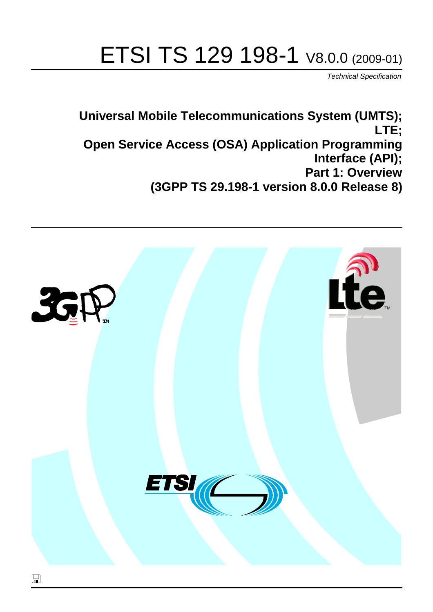# ETSI TS 129 198-1 V8.0.0 (2009-01)

*Technical Specification*

**Universal Mobile Telecommunications System (UMTS); LTE; Open Service Access (OSA) Application Programming Interface (API); Part 1: Overview (3GPP TS 29.198-1 version 8.0.0 Release 8)**

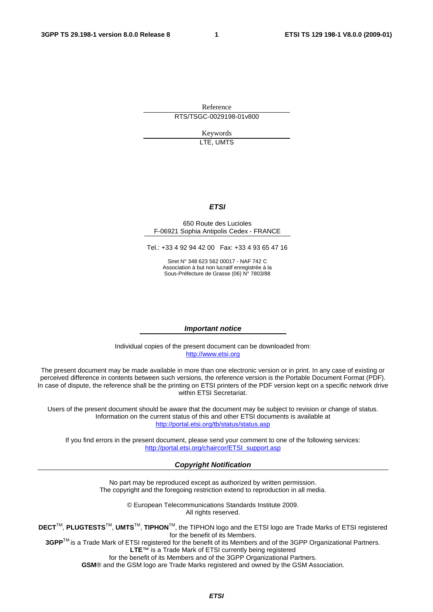Reference RTS/TSGC-0029198-01v800

> Keywords LTE, UMTS

#### *ETSI*

#### 650 Route des Lucioles F-06921 Sophia Antipolis Cedex - FRANCE

Tel.: +33 4 92 94 42 00 Fax: +33 4 93 65 47 16

Siret N° 348 623 562 00017 - NAF 742 C Association à but non lucratif enregistrée à la Sous-Préfecture de Grasse (06) N° 7803/88

#### *Important notice*

Individual copies of the present document can be downloaded from: [http://www.etsi.org](http://www.etsi.org/)

The present document may be made available in more than one electronic version or in print. In any case of existing or perceived difference in contents between such versions, the reference version is the Portable Document Format (PDF). In case of dispute, the reference shall be the printing on ETSI printers of the PDF version kept on a specific network drive within ETSI Secretariat.

Users of the present document should be aware that the document may be subject to revision or change of status. Information on the current status of this and other ETSI documents is available at <http://portal.etsi.org/tb/status/status.asp>

If you find errors in the present document, please send your comment to one of the following services: [http://portal.etsi.org/chaircor/ETSI\\_support.asp](http://portal.etsi.org/chaircor/ETSI_support.asp)

#### *Copyright Notification*

No part may be reproduced except as authorized by written permission. The copyright and the foregoing restriction extend to reproduction in all media.

> © European Telecommunications Standards Institute 2009. All rights reserved.

**DECT**TM, **PLUGTESTS**TM, **UMTS**TM, **TIPHON**TM, the TIPHON logo and the ETSI logo are Trade Marks of ETSI registered for the benefit of its Members.

**3GPP**TM is a Trade Mark of ETSI registered for the benefit of its Members and of the 3GPP Organizational Partners. **LTE**™ is a Trade Mark of ETSI currently being registered

for the benefit of its Members and of the 3GPP Organizational Partners.

**GSM**® and the GSM logo are Trade Marks registered and owned by the GSM Association.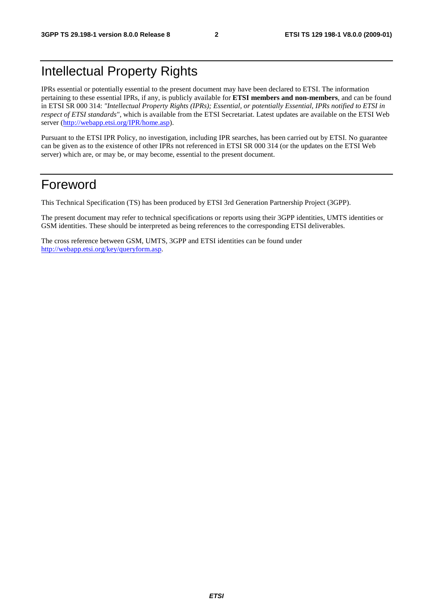## Intellectual Property Rights

IPRs essential or potentially essential to the present document may have been declared to ETSI. The information pertaining to these essential IPRs, if any, is publicly available for **ETSI members and non-members**, and can be found in ETSI SR 000 314: *"Intellectual Property Rights (IPRs); Essential, or potentially Essential, IPRs notified to ETSI in respect of ETSI standards"*, which is available from the ETSI Secretariat. Latest updates are available on the ETSI Web server ([http://webapp.etsi.org/IPR/home.asp\)](http://webapp.etsi.org/IPR/home.asp).

Pursuant to the ETSI IPR Policy, no investigation, including IPR searches, has been carried out by ETSI. No guarantee can be given as to the existence of other IPRs not referenced in ETSI SR 000 314 (or the updates on the ETSI Web server) which are, or may be, or may become, essential to the present document.

### Foreword

This Technical Specification (TS) has been produced by ETSI 3rd Generation Partnership Project (3GPP).

The present document may refer to technical specifications or reports using their 3GPP identities, UMTS identities or GSM identities. These should be interpreted as being references to the corresponding ETSI deliverables.

The cross reference between GSM, UMTS, 3GPP and ETSI identities can be found under [http://webapp.etsi.org/key/queryform.asp.](http://webapp.etsi.org/key/queryform.asp)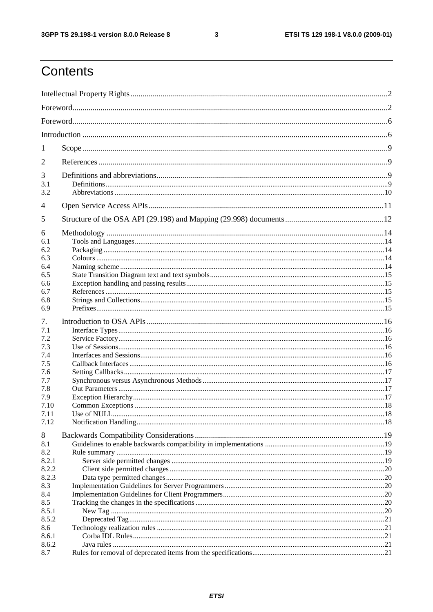$\mathbf{3}$ 

## Contents

| 1                                |  |  |  |  |
|----------------------------------|--|--|--|--|
| 2                                |  |  |  |  |
| 3<br>3.1<br>3.2                  |  |  |  |  |
| 4                                |  |  |  |  |
| 5                                |  |  |  |  |
| 6<br>6.1<br>6.2<br>6.3           |  |  |  |  |
| 6.4<br>6.5                       |  |  |  |  |
| 6.6<br>6.7<br>6.8                |  |  |  |  |
| 6.9                              |  |  |  |  |
| 7.<br>7.1<br>7.2<br>7.3          |  |  |  |  |
| 7.4<br>7.5                       |  |  |  |  |
| 7.6<br>7.7<br>7.8<br>7.9<br>7.10 |  |  |  |  |
| 7.11<br>7.12                     |  |  |  |  |
| 8<br>8.1<br>8.2<br>8.2.1         |  |  |  |  |
| 8.2.2<br>8.2.3<br>8.3<br>8.4     |  |  |  |  |
| 8.5<br>8.5.1<br>8.5.2            |  |  |  |  |
| 8.6<br>8.6.1<br>8.6.2<br>8.7     |  |  |  |  |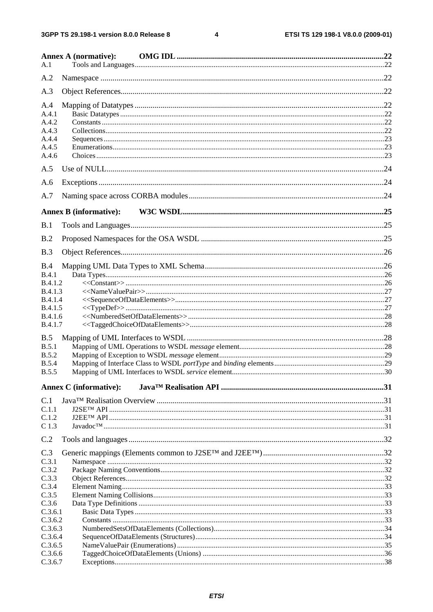$\overline{\mathbf{4}}$ 

|                    | <b>Annex A (normative):</b>   |  |
|--------------------|-------------------------------|--|
| A.1                |                               |  |
| A.2                |                               |  |
| A.3                |                               |  |
| A.4                |                               |  |
| A.4.1              |                               |  |
| A.4.2              |                               |  |
| A.4.3              |                               |  |
| A.4.4              |                               |  |
| A.4.5              |                               |  |
| A.4.6              |                               |  |
| A.5                |                               |  |
| A.6                |                               |  |
| A.7                |                               |  |
|                    | <b>Annex B</b> (informative): |  |
| B.1                |                               |  |
| B.2                |                               |  |
| B.3                |                               |  |
| B.4                |                               |  |
| B.4.1              |                               |  |
| B.4.1.2            |                               |  |
| B.4.1.3            |                               |  |
| B.4.1.4            |                               |  |
| <b>B.4.1.5</b>     |                               |  |
| B.4.1.6            |                               |  |
| B.4.1.7            |                               |  |
| B.5                |                               |  |
| B.5.1              |                               |  |
| <b>B.5.2</b>       |                               |  |
| <b>B.5.4</b>       |                               |  |
| <b>B.5.5</b>       |                               |  |
|                    | <b>Annex C</b> (informative): |  |
| C.1                |                               |  |
| C.1.1              |                               |  |
| C.1.2              |                               |  |
| C <sub>1.3</sub>   |                               |  |
| C.2                |                               |  |
| C.3                |                               |  |
| C.3.1              |                               |  |
| C.3.2              |                               |  |
| C.3.3              |                               |  |
| C.3.4              |                               |  |
| C.3.5              |                               |  |
| C.3.6              |                               |  |
| C.3.6.1            |                               |  |
| C.3.6.2<br>C.3.6.3 |                               |  |
| C.3.6.4            |                               |  |
| C.3.6.5            |                               |  |
| C.3.6.6            |                               |  |
| C.3.6.7            |                               |  |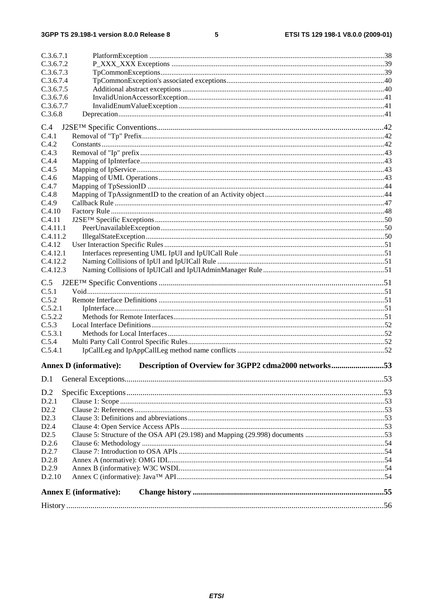#### $5\phantom{a}$

| C.3.6.7.1 |                                                                                        |  |
|-----------|----------------------------------------------------------------------------------------|--|
| C.3.6.7.2 |                                                                                        |  |
| C.3.6.7.3 |                                                                                        |  |
| C.3.6.7.4 |                                                                                        |  |
| C.3.6.7.5 |                                                                                        |  |
| C.3.6.7.6 |                                                                                        |  |
| C.3.6.7.7 |                                                                                        |  |
| C.3.6.8   |                                                                                        |  |
| C.4       |                                                                                        |  |
| C.4.1     |                                                                                        |  |
| C.4.2     |                                                                                        |  |
| C.4.3     |                                                                                        |  |
| C.4.4     |                                                                                        |  |
| C.4.5     |                                                                                        |  |
| C.4.6     |                                                                                        |  |
| C.4.7     |                                                                                        |  |
| C.4.8     |                                                                                        |  |
| C.4.9     |                                                                                        |  |
| C.4.10    |                                                                                        |  |
| C.4.11    |                                                                                        |  |
| C.4.11.1  |                                                                                        |  |
| C.4.11.2  |                                                                                        |  |
| C.4.12    |                                                                                        |  |
| C.4.12.1  |                                                                                        |  |
| C.4.12.2  |                                                                                        |  |
| C.4.12.3  |                                                                                        |  |
|           |                                                                                        |  |
| C.5       |                                                                                        |  |
| C.5.1     |                                                                                        |  |
| C.5.2     |                                                                                        |  |
| C.5.2.1   |                                                                                        |  |
| C.5.2.2   |                                                                                        |  |
| C.5.3     |                                                                                        |  |
| C.5.3.1   |                                                                                        |  |
| C.5.4     |                                                                                        |  |
| C.5.4.1   |                                                                                        |  |
|           | <b>Annex D</b> (informative):<br>Description of Overview for 3GPP2 cdma2000 networks53 |  |
|           |                                                                                        |  |
| D.1       |                                                                                        |  |
| D.2       |                                                                                        |  |
| D.2.1     |                                                                                        |  |
| D2.2      |                                                                                        |  |
| D2.3      |                                                                                        |  |
| D2.4      |                                                                                        |  |
| D2.5      |                                                                                        |  |
| D.2.6     |                                                                                        |  |
| D.2.7     |                                                                                        |  |
| D.2.8     |                                                                                        |  |
| D.2.9     |                                                                                        |  |
| D.2.10    |                                                                                        |  |
|           |                                                                                        |  |
|           | <b>Annex E</b> (informative):                                                          |  |
|           |                                                                                        |  |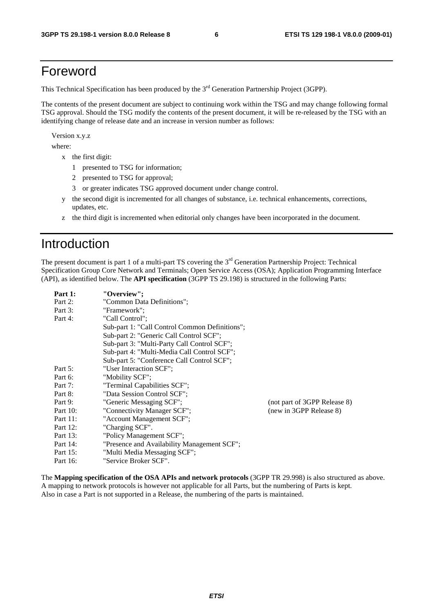## Foreword

This Technical Specification has been produced by the 3<sup>rd</sup> Generation Partnership Project (3GPP).

The contents of the present document are subject to continuing work within the TSG and may change following formal TSG approval. Should the TSG modify the contents of the present document, it will be re-released by the TSG with an identifying change of release date and an increase in version number as follows:

Version x.y.z

where:

- x the first digit:
	- 1 presented to TSG for information;
	- 2 presented to TSG for approval;
	- 3 or greater indicates TSG approved document under change control.
- y the second digit is incremented for all changes of substance, i.e. technical enhancements, corrections, updates, etc.
- z the third digit is incremented when editorial only changes have been incorporated in the document.

## Introduction

The present document is part 1 of a multi-part TS covering the 3<sup>rd</sup> Generation Partnership Project: Technical Specification Group Core Network and Terminals; Open Service Access (OSA); Application Programming Interface (API), as identified below. The **API specification** (3GPP TS 29.198) is structured in the following Parts:

| Part 1:     | "Overview":                                    |                              |
|-------------|------------------------------------------------|------------------------------|
| Part 2:     | "Common Data Definitions";                     |                              |
| Part 3:     | "Framework":                                   |                              |
| Part 4:     | "Call Control":                                |                              |
|             | Sub-part 1: "Call Control Common Definitions"; |                              |
|             | Sub-part 2: "Generic Call Control SCF";        |                              |
|             | Sub-part 3: "Multi-Party Call Control SCF";    |                              |
|             | Sub-part 4: "Multi-Media Call Control SCF";    |                              |
|             | Sub-part 5: "Conference Call Control SCF";     |                              |
| Part 5:     | "User Interaction SCF":                        |                              |
| Part 6:     | "Mobility SCF";                                |                              |
| Part 7:     | "Terminal Capabilities SCF";                   |                              |
| Part 8:     | "Data Session Control SCF";                    |                              |
| Part 9:     | "Generic Messaging SCF";                       | (not part of 3GPP Release 8) |
| Part $10$ : | "Connectivity Manager SCF";                    | (new in 3GPP Release 8)      |
| Part 11:    | "Account Management SCF";                      |                              |
| Part 12:    | "Charging SCF".                                |                              |
| Part 13:    | "Policy Management SCF";                       |                              |
| Part 14:    | "Presence and Availability Management SCF";    |                              |
| Part 15:    | "Multi Media Messaging SCF";                   |                              |
| Part 16:    | "Service Broker SCF".                          |                              |

The **Mapping specification of the OSA APIs and network protocols** (3GPP TR 29.998) is also structured as above. A mapping to network protocols is however not applicable for all Parts, but the numbering of Parts is kept. Also in case a Part is not supported in a Release, the numbering of the parts is maintained.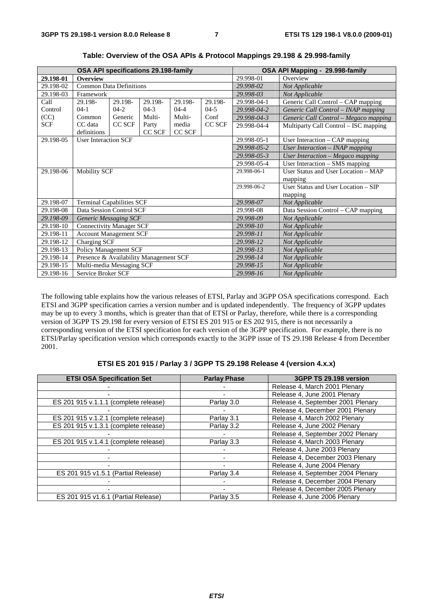| OSA API specifications 29.198-family |                                        |               |         |           | OSA API Mapping - 29.998-family |                                     |                                       |
|--------------------------------------|----------------------------------------|---------------|---------|-----------|---------------------------------|-------------------------------------|---------------------------------------|
| 29.198-01                            | <b>Overview</b>                        |               |         |           |                                 | 29.998-01                           | Overview                              |
| 29.198-02                            | <b>Common Data Definitions</b>         |               |         |           |                                 | 29.998-02                           | Not Applicable                        |
| 29.198-03                            | Framework                              |               |         |           |                                 | 29.998-03                           | Not Applicable                        |
| Call                                 | 29.198-                                | 29.198-       | 29.198- | 29.198-   | 29.198-                         | 29.998-04-1                         | Generic Call Control – CAP mapping    |
| Control                              | $04-1$                                 | $04-2$        | $04-3$  | $04 - 4$  | $04-5$                          | 29.998-04-2                         | Generic Call Control - INAP mapping   |
| (CC)                                 | Common                                 | Generic       | Multi-  | Multi-    | Conf                            | 29.998-04-3                         | Generic Call Control - Megaco mapping |
| <b>SCF</b>                           | CC data                                | <b>CC SCF</b> | Party   | media     | CC SCF                          | 29.998-04-4                         | Multiparty Call Control - ISC mapping |
|                                      | definitions                            |               | CC SCF  | CC SCF    |                                 |                                     |                                       |
| 29.198-05                            | <b>User Interaction SCF</b>            |               |         |           |                                 | 29.998-05-1                         | User Interaction - CAP mapping        |
|                                      |                                        |               |         |           |                                 | 29.998-05-2                         | User Interaction - INAP mapping       |
|                                      |                                        |               |         |           |                                 | 29.998-05-3                         | User Interaction - Megaco mapping     |
|                                      |                                        |               |         |           |                                 | 29.998-05-4                         | User Interaction – SMS mapping        |
| 29.198-06                            | <b>Mobility SCF</b>                    |               |         |           | 29.998-06-1                     | User Status and User Location – MAP |                                       |
|                                      |                                        |               |         |           |                                 | mapping                             |                                       |
|                                      |                                        |               |         |           | 29.998-06-2                     | User Status and User Location – SIP |                                       |
|                                      |                                        |               |         |           |                                 | mapping                             |                                       |
| 29.198-07                            | <b>Terminal Capabilities SCF</b>       |               |         |           |                                 | 29.998-07                           | Not Applicable                        |
| 29.198-08                            | Data Session Control SCF               |               |         |           |                                 | 29.998-08                           | Data Session Control - CAP mapping    |
| 29.198-09                            | <b>Generic Messaging SCF</b>           |               |         |           |                                 | 29.998-09                           | Not Applicable                        |
| 29.198-10                            | Connectivity Manager SCF               |               |         |           |                                 | 29.998-10                           | Not Applicable                        |
| 29.198-11                            | <b>Account Management SCF</b>          |               |         |           | 29.998-11                       | Not Applicable                      |                                       |
| 29.198-12                            | Charging SCF                           |               |         |           |                                 | 29.998-12                           | Not Applicable                        |
| 29.198-13                            | <b>Policy Management SCF</b>           |               |         | 29.998-13 | Not Applicable                  |                                     |                                       |
| 29.198-14                            | Presence & Availability Management SCF |               |         | 29.998-14 | Not Applicable                  |                                     |                                       |
| 29.198-15                            | Multi-media Messaging SCF              |               |         | 29.998-15 | Not Applicable                  |                                     |                                       |
| 29.198-16                            | Service Broker SCF                     |               |         |           | 29.998-16                       | Not Applicable                      |                                       |

**Table: Overview of the OSA APIs & Protocol Mappings 29.198 & 29.998-family** 

The following table explains how the various releases of ETSI, Parlay and 3GPP OSA specifications correspond. Each ETSI and 3GPP specification carries a version number and is updated independently. The frequency of 3GPP updates may be up to every 3 months, which is greater than that of ETSI or Parlay, therefore, while there is a corresponding version of 3GPP TS 29.198 for every version of ETSI ES 201 915 or ES 202 915, there is not necessarily a corresponding version of the ETSI specification for each version of the 3GPP specification. For example, there is no ETSI/Parlay specification version which corresponds exactly to the 3GPP issue of TS 29.198 Release 4 from December 2001.

|  | ETSI ES 201 915 / Parlay 3 / 3GPP TS 29.198 Release 4 (version 4.x.x) |  |
|--|-----------------------------------------------------------------------|--|
|--|-----------------------------------------------------------------------|--|

| <b>ETSI OSA Specification Set</b>     | <b>Parlay Phase</b> | 3GPP TS 29.198 version            |
|---------------------------------------|---------------------|-----------------------------------|
|                                       |                     | Release 4, March 2001 Plenary     |
|                                       |                     | Release 4, June 2001 Plenary      |
| ES 201 915 v.1.1.1 (complete release) | Parlay 3.0          | Release 4, September 2001 Plenary |
|                                       |                     | Release 4, December 2001 Plenary  |
| ES 201 915 v.1.2.1 (complete release) | Parlay 3.1          | Release 4, March 2002 Plenary     |
| ES 201 915 v.1.3.1 (complete release) | Parlay 3.2          | Release 4, June 2002 Plenary      |
|                                       |                     | Release 4, September 2002 Plenary |
| ES 201 915 v.1.4.1 (complete release) | Parlay 3.3          | Release 4, March 2003 Plenary     |
|                                       |                     | Release 4, June 2003 Plenary      |
|                                       |                     | Release 4, December 2003 Plenary  |
|                                       |                     | Release 4, June 2004 Plenary      |
| ES 201 915 v1.5.1 (Partial Release)   | Parlay 3.4          | Release 4, September 2004 Plenary |
|                                       |                     | Release 4, December 2004 Plenary  |
|                                       |                     | Release 4, December 2005 Plenary  |
| ES 201 915 v1.6.1 (Partial Release)   | Parlay 3.5          | Release 4, June 2006 Plenary      |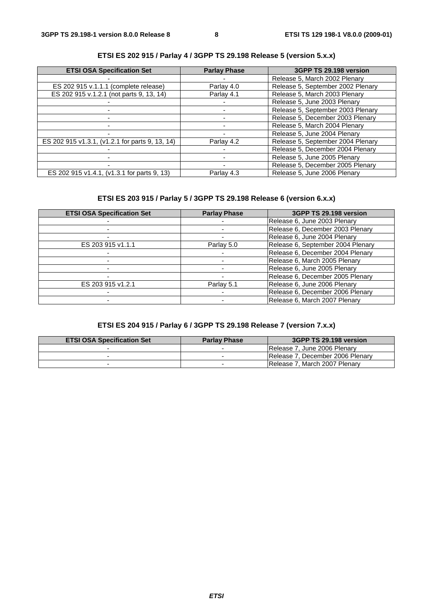| <b>ETSI OSA Specification Set</b>               | <b>Parlay Phase</b> | 3GPP TS 29.198 version            |
|-------------------------------------------------|---------------------|-----------------------------------|
|                                                 |                     | Release 5, March 2002 Plenary     |
| ES 202 915 v.1.1.1 (complete release)           | Parlay 4.0          | Release 5, September 2002 Plenary |
| ES 202 915 v.1.2.1 (not parts 9, 13, 14)        | Parlay 4.1          | Release 5, March 2003 Plenary     |
|                                                 |                     | Release 5, June 2003 Plenary      |
|                                                 |                     | Release 5, September 2003 Plenary |
|                                                 |                     | Release 5, December 2003 Plenary  |
|                                                 |                     | Release 5, March 2004 Plenary     |
|                                                 |                     | Release 5, June 2004 Plenary      |
| ES 202 915 v1.3.1, (v1.2.1 for parts 9, 13, 14) | Parlay 4.2          | Release 5, September 2004 Plenary |
|                                                 |                     | Release 5, December 2004 Plenary  |
|                                                 |                     | Release 5, June 2005 Plenary      |
|                                                 |                     | Release 5, December 2005 Plenary  |
| ES 202 915 v1.4.1, (v1.3.1 for parts 9, 13)     | Parlay 4.3          | Release 5, June 2006 Plenary      |

#### **ETSI ES 202 915 / Parlay 4 / 3GPP TS 29.198 Release 5 (version 5.x.x)**

#### **ETSI ES 203 915 / Parlay 5 / 3GPP TS 29.198 Release 6 (version 6.x.x)**

| <b>ETSI OSA Specification Set</b> | <b>Parlay Phase</b> | 3GPP TS 29.198 version            |
|-----------------------------------|---------------------|-----------------------------------|
|                                   |                     | Release 6, June 2003 Plenary      |
|                                   |                     | Release 6, December 2003 Plenary  |
|                                   |                     | Release 6, June 2004 Plenary      |
| ES 203 915 v1.1.1                 | Parlay 5.0          | Release 6, September 2004 Plenary |
|                                   |                     | Release 6, December 2004 Plenary  |
|                                   |                     | Release 6, March 2005 Plenary     |
|                                   |                     | Release 6, June 2005 Plenary      |
|                                   |                     | Release 6, December 2005 Plenary  |
| ES 203 915 v1.2.1                 | Parlay 5.1          | Release 6, June 2006 Plenary      |
|                                   |                     | Release 6, December 2006 Plenary  |
|                                   |                     | Release 6, March 2007 Plenary     |

#### **ETSI ES 204 915 / Parlay 6 / 3GPP TS 29.198 Release 7 (version 7.x.x)**

| <b>ETSI OSA Specification Set</b> | <b>Parlay Phase</b> | 3GPP TS 29.198 version                |
|-----------------------------------|---------------------|---------------------------------------|
|                                   | -                   | IRelease 7. June 2006 Plenary         |
|                                   |                     | Release 7. December 2006 Plenary      |
|                                   |                     | <b>IRelease 7. March 2007 Plenary</b> |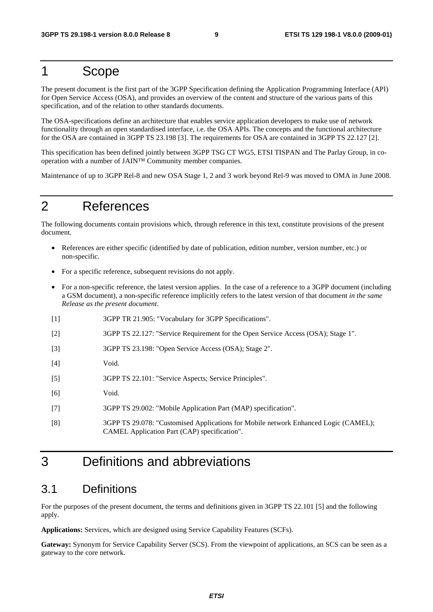### 1 Scope

The present document is the first part of the 3GPP Specification defining the Application Programming Interface (API) for Open Service Access (OSA), and provides an overview of the content and structure of the various parts of this specification, and of the relation to other standards documents.

The OSA-specifications define an architecture that enables service application developers to make use of network functionality through an open standardised interface, i.e. the OSA APIs. The concepts and the functional architecture for the OSA are contained in 3GPP TS 23.198 [3]. The requirements for OSA are contained in 3GPP TS 22.127 [2].

This specification has been defined jointly between 3GPP TSG CT WG5, ETSI TISPAN and The Parlay Group, in cooperation with a number of JAIN™ Community member companies.

Maintenance of up to 3GPP Rel-8 and new OSA Stage 1, 2 and 3 work beyond Rel-9 was moved to OMA in June 2008.

## 2 References

The following documents contain provisions which, through reference in this text, constitute provisions of the present document.

- References are either specific (identified by date of publication, edition number, version number, etc.) or non-specific.
- For a specific reference, subsequent revisions do not apply.
- For a non-specific reference, the latest version applies. In the case of a reference to a 3GPP document (including a GSM document), a non-specific reference implicitly refers to the latest version of that document *in the same Release as the present document*.
- [1] 3GPP TR 21.905: "Vocabulary for 3GPP Specifications".
- [2] 3GPP TS 22.127: "Service Requirement for the Open Service Access (OSA); Stage 1".
- [3] 3GPP TS 23.198: "Open Service Access (OSA); Stage 2".
- [4] Void.
- [5] 3GPP TS 22.101: "Service Aspects; Service Principles".
- [6] Void.
- [7] 3GPP TS 29.002: "Mobile Application Part (MAP) specification".
- [8] 3GPP TS 29.078: "Customised Applications for Mobile network Enhanced Logic (CAMEL); CAMEL Application Part (CAP) specification".

## 3 Definitions and abbreviations

#### 3.1 Definitions

For the purposes of the present document, the terms and definitions given in 3GPP TS 22.101 [5] and the following apply.

**Applications:** Services, which are designed using Service Capability Features (SCFs).

**Gateway:** Synonym for Service Capability Server (SCS). From the viewpoint of applications, an SCS can be seen as a gateway to the core network.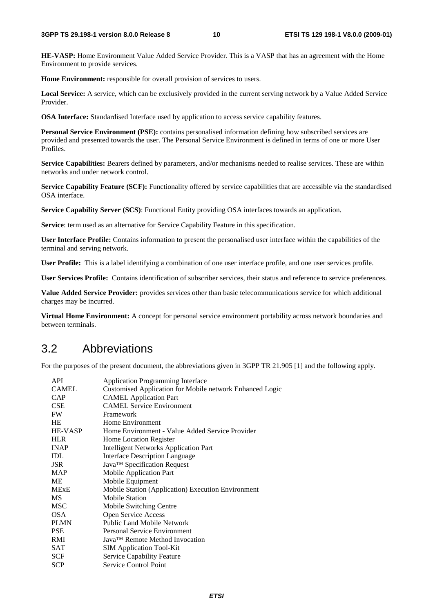**HE-VASP:** Home Environment Value Added Service Provider. This is a VASP that has an agreement with the Home Environment to provide services.

**Home Environment:** responsible for overall provision of services to users.

**Local Service:** A service, which can be exclusively provided in the current serving network by a Value Added Service Provider.

**OSA Interface:** Standardised Interface used by application to access service capability features.

**Personal Service Environment (PSE):** contains personalised information defining how subscribed services are provided and presented towards the user. The Personal Service Environment is defined in terms of one or more User Profiles.

**Service Capabilities:** Bearers defined by parameters, and/or mechanisms needed to realise services. These are within networks and under network control.

**Service Capability Feature (SCF):** Functionality offered by service capabilities that are accessible via the standardised OSA interface.

**Service Capability Server (SCS)**: Functional Entity providing OSA interfaces towards an application.

**Service**: term used as an alternative for Service Capability Feature in this specification.

**User Interface Profile:** Contains information to present the personalised user interface within the capabilities of the terminal and serving network.

**User Profile:** This is a label identifying a combination of one user interface profile, and one user services profile.

**User Services Profile:** Contains identification of subscriber services, their status and reference to service preferences.

**Value Added Service Provider:** provides services other than basic telecommunications service for which additional charges may be incurred.

**Virtual Home Environment:** A concept for personal service environment portability across network boundaries and between terminals.

#### 3.2 Abbreviations

For the purposes of the present document, the abbreviations given in 3GPP TR 21.905 [1] and the following apply.

| API          | <b>Application Programming Interface</b>                        |
|--------------|-----------------------------------------------------------------|
| <b>CAMEL</b> | <b>Customised Application for Mobile network Enhanced Logic</b> |
| <b>CAP</b>   | <b>CAMEL</b> Application Part                                   |
| <b>CSE</b>   | <b>CAMEL Service Environment</b>                                |
| <b>FW</b>    | Framework                                                       |
| HE           | Home Environment                                                |
| HE-VASP      | Home Environment - Value Added Service Provider                 |
| <b>HLR</b>   | Home Location Register                                          |
| <b>INAP</b>  | <b>Intelligent Networks Application Part</b>                    |
| IDL          | <b>Interface Description Language</b>                           |
| <b>JSR</b>   | Java™ Specification Request                                     |
| <b>MAP</b>   | Mobile Application Part                                         |
| МE           | Mobile Equipment                                                |
| <b>MExE</b>  | Mobile Station (Application) Execution Environment              |
| <b>MS</b>    | <b>Mobile Station</b>                                           |
| <b>MSC</b>   | Mobile Switching Centre                                         |
| <b>OSA</b>   | Open Service Access                                             |
| <b>PLMN</b>  | <b>Public Land Mobile Network</b>                               |
| <b>PSE</b>   | <b>Personal Service Environment</b>                             |
| RMI          | Java™ Remote Method Invocation                                  |
| SAT          | <b>SIM Application Tool-Kit</b>                                 |
| <b>SCF</b>   | <b>Service Capability Feature</b>                               |
| <b>SCP</b>   | <b>Service Control Point</b>                                    |
|              |                                                                 |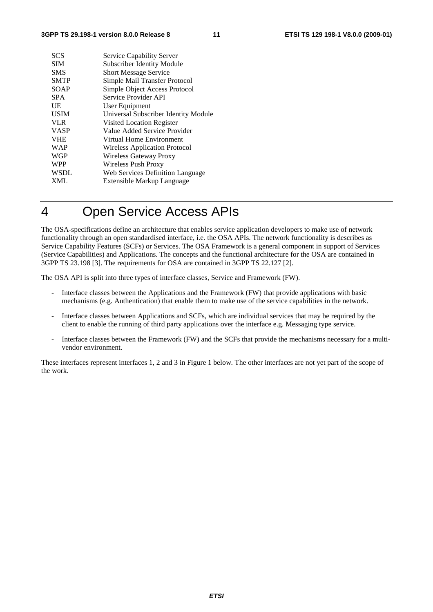| <b>SCS</b>  | Service Capability Server            |
|-------------|--------------------------------------|
| <b>SIM</b>  | <b>Subscriber Identity Module</b>    |
| <b>SMS</b>  | <b>Short Message Service</b>         |
| <b>SMTP</b> | Simple Mail Transfer Protocol        |
| SOAP        | Simple Object Access Protocol        |
| <b>SPA</b>  | Service Provider API                 |
| UE          | User Equipment                       |
| <b>USIM</b> | Universal Subscriber Identity Module |
| <b>VLR</b>  | Visited Location Register            |
| <b>VASP</b> | Value Added Service Provider         |
| <b>VHE</b>  | Virtual Home Environment             |
| <b>WAP</b>  | Wireless Application Protocol        |
| <b>WGP</b>  | Wireless Gateway Proxy               |
| <b>WPP</b>  | Wireless Push Proxy                  |
| <b>WSDL</b> | Web Services Definition Language     |
| <b>XML</b>  | Extensible Markup Language           |
|             |                                      |

## 4 Open Service Access APIs

The OSA-specifications define an architecture that enables service application developers to make use of network functionality through an open standardised interface, i.e. the OSA APIs. The network functionality is describes as Service Capability Features (SCFs) or Services. The OSA Framework is a general component in support of Services (Service Capabilities) and Applications. The concepts and the functional architecture for the OSA are contained in 3GPP TS 23.198 [3]. The requirements for OSA are contained in 3GPP TS 22.127 [2].

The OSA API is split into three types of interface classes, Service and Framework (FW).

- Interface classes between the Applications and the Framework (FW) that provide applications with basic mechanisms (e.g. Authentication) that enable them to make use of the service capabilities in the network.
- Interface classes between Applications and SCFs, which are individual services that may be required by the client to enable the running of third party applications over the interface e.g. Messaging type service.
- Interface classes between the Framework (FW) and the SCFs that provide the mechanisms necessary for a multivendor environment.

These interfaces represent interfaces 1, 2 and 3 in Figure 1 below. The other interfaces are not yet part of the scope of the work.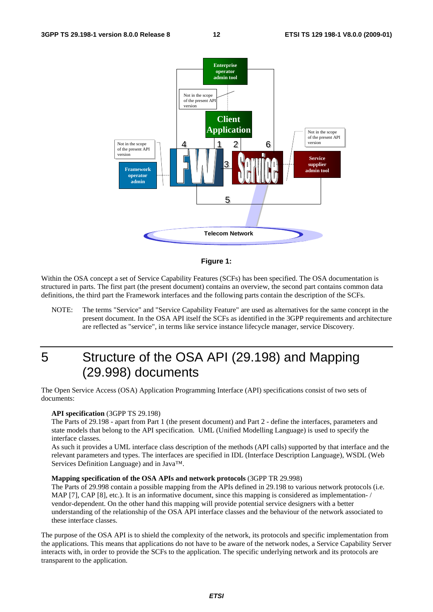



Within the OSA concept a set of Service Capability Features (SCFs) has been specified. The OSA documentation is structured in parts. The first part (the present document) contains an overview, the second part contains common data definitions, the third part the Framework interfaces and the following parts contain the description of the SCFs.

NOTE: The terms "Service" and "Service Capability Feature" are used as alternatives for the same concept in the present document. In the OSA API itself the SCFs as identified in the 3GPP requirements and architecture are reflected as "service", in terms like service instance lifecycle manager, service Discovery.

## 5 Structure of the OSA API (29.198) and Mapping (29.998) documents

The Open Service Access (OSA) Application Programming Interface (API) specifications consist of two sets of documents:

#### **API specification** (3GPP TS 29.198)

The Parts of 29.198 - apart from Part 1 (the present document) and Part 2 - define the interfaces, parameters and state models that belong to the API specification. UML (Unified Modelling Language) is used to specify the interface classes.

As such it provides a UML interface class description of the methods (API calls) supported by that interface and the relevant parameters and types. The interfaces are specified in IDL (Interface Description Language), WSDL (Web Services Definition Language) and in Java™.

#### **Mapping specification of the OSA APIs and network protocols** (3GPP TR 29.998)

The Parts of 29.998 contain a possible mapping from the APIs defined in 29.198 to various network protocols (i.e. MAP [7], CAP [8], etc.). It is an informative document, since this mapping is considered as implementation-/ vendor-dependent. On the other hand this mapping will provide potential service designers with a better understanding of the relationship of the OSA API interface classes and the behaviour of the network associated to these interface classes.

The purpose of the OSA API is to shield the complexity of the network, its protocols and specific implementation from the applications. This means that applications do not have to be aware of the network nodes, a Service Capability Server interacts with, in order to provide the SCFs to the application. The specific underlying network and its protocols are transparent to the application.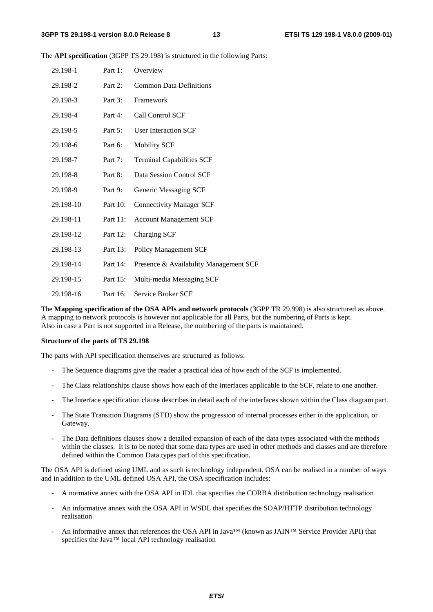The **API specification** (3GPP TS 29.198) is structured in the following Parts:

| 29.198-1  | Part 1:  | Overview                               |
|-----------|----------|----------------------------------------|
| 29.198-2  | Part 2:  | <b>Common Data Definitions</b>         |
| 29.198-3  | Part 3:  | Framework                              |
| 29.198-4  | Part 4:  | Call Control SCF                       |
| 29.198-5  | Part 5:  | <b>User Interaction SCF</b>            |
| 29.198-6  | Part 6:  | <b>Mobility SCF</b>                    |
| 29.198-7  | Part 7:  | <b>Terminal Capabilities SCF</b>       |
| 29.198-8  | Part 8:  | Data Session Control SCF               |
| 29.198-9  | Part 9:  | Generic Messaging SCF                  |
| 29.198-10 | Part 10: | <b>Connectivity Manager SCF</b>        |
| 29.198-11 | Part 11: | <b>Account Management SCF</b>          |
| 29.198-12 | Part 12: | Charging SCF                           |
| 29.198-13 | Part 13: | <b>Policy Management SCF</b>           |
| 29.198-14 | Part 14: | Presence & Availability Management SCF |
| 29.198-15 | Part 15: | Multi-media Messaging SCF              |
| 29.198-16 | Part 16: | Service Broker SCF                     |

The **Mapping specification of the OSA APIs and network protocols** (3GPP TR 29.998) is also structured as above. A mapping to network protocols is however not applicable for all Parts, but the numbering of Parts is kept. Also in case a Part is not supported in a Release, the numbering of the parts is maintained.

#### **Structure of the parts of TS 29.198**

The parts with API specification themselves are structured as follows:

- The Sequence diagrams give the reader a practical idea of how each of the SCF is implemented.
- The Class relationships clause shows how each of the interfaces applicable to the SCF, relate to one another.
- The Interface specification clause describes in detail each of the interfaces shown within the Class diagram part.
- The State Transition Diagrams (STD) show the progression of internal processes either in the application, or Gateway.
- The Data definitions clauses show a detailed expansion of each of the data types associated with the methods within the classes. It is to be noted that some data types are used in other methods and classes and are therefore defined within the Common Data types part of this specification.

The OSA API is defined using UML and as such is technology independent. OSA can be realised in a number of ways and in addition to the UML defined OSA API, the OSA specification includes:

- A normative annex with the OSA API in IDL that specifies the CORBA distribution technology realisation
- An informative annex with the OSA API in WSDL that specifies the SOAP/HTTP distribution technology realisation
- An informative annex that references the OSA API in Java™ (known as JAIN™ Service Provider API) that specifies the Java™ local API technology realisation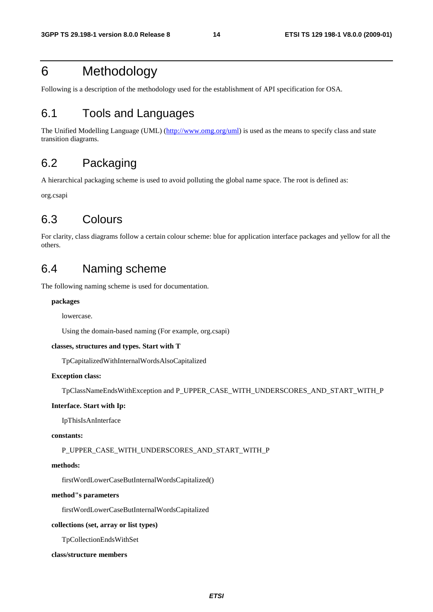## 6 Methodology

Following is a description of the methodology used for the establishment of API specification for OSA.

## 6.1 Tools and Languages

The Unified Modelling Language (UML) [\(http://www.omg.org/uml](http://www.omg.org/uml)) is used as the means to specify class and state transition diagrams.

## 6.2 Packaging

A hierarchical packaging scheme is used to avoid polluting the global name space. The root is defined as:

org.csapi

## 6.3 Colours

For clarity, class diagrams follow a certain colour scheme: blue for application interface packages and yellow for all the others.

### 6.4 Naming scheme

The following naming scheme is used for documentation.

#### **packages**

lowercase.

Using the domain-based naming (For example, org.csapi)

#### **classes, structures and types. Start with T**

TpCapitalizedWithInternalWordsAlsoCapitalized

#### **Exception class:**

TpClassNameEndsWithException and P\_UPPER\_CASE\_WITH\_UNDERSCORES\_AND\_START\_WITH\_P

#### **Interface. Start with Ip:**

IpThisIsAnInterface

#### **constants:**

P\_UPPER\_CASE\_WITH\_UNDERSCORES\_AND\_START\_WITH\_P

#### **methods:**

firstWordLowerCaseButInternalWordsCapitalized()

#### **method"s parameters**

firstWordLowerCaseButInternalWordsCapitalized

#### **collections (set, array or list types)**

TpCollectionEndsWithSet

#### **class/structure members**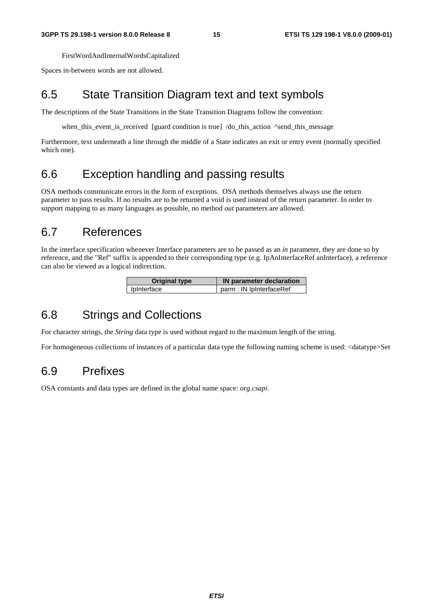FirstWordAndInternalWordsCapitalized

Spaces in-between words are not allowed.

### 6.5 State Transition Diagram text and text symbols

The descriptions of the State Transitions in the State Transition Diagrams follow the convention:

when\_this\_event\_is\_received [guard condition is true] /do\_this\_action ^send\_this\_message

Furthermore, text underneath a line through the middle of a State indicates an exit or entry event (normally specified which one).

## 6.6 Exception handling and passing results

OSA methods communicate errors in the form of exceptions. OSA methods themselves always use the return parameter to pass results. If no results are to be returned a void is used instead of the return parameter. In order to support mapping to as many languages as possible, no method *out* parameters are allowed.

### 6.7 References

In the interface specification whenever Interface parameters are to be passed as an *in* parameter, they are done so by reference, and the "Ref" suffix is appended to their corresponding type (e.g. IpAnInterfaceRef anInterface), a reference can also be viewed as a logical indirection.

| Original type | IN parameter declaration |
|---------------|--------------------------|
| IpInterface   | parm : IN IpInterfaceRef |

## 6.8 Strings and Collections

For character strings, the *String* data type is used without regard to the maximum length of the string.

For homogeneous collections of instances of a particular data type the following naming scheme is used: <datatype>Set

## 6.9 Prefixes

OSA constants and data types are defined in the global name space: *org.csapi*.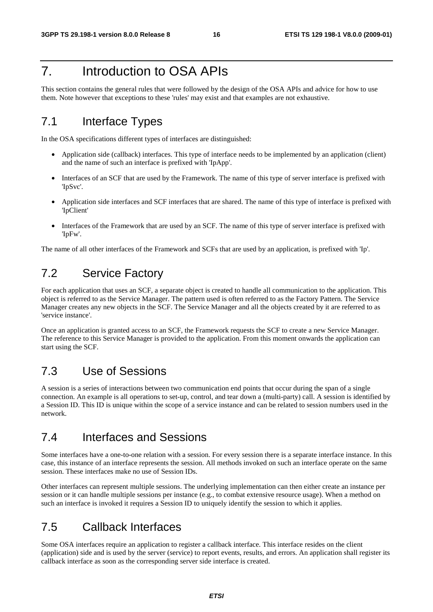## 7. Introduction to OSA APIs

This section contains the general rules that were followed by the design of the OSA APIs and advice for how to use them. Note however that exceptions to these 'rules' may exist and that examples are not exhaustive.

## 7.1 Interface Types

In the OSA specifications different types of interfaces are distinguished:

- Application side (callback) interfaces. This type of interface needs to be implemented by an application (client) and the name of such an interface is prefixed with 'IpApp'.
- Interfaces of an SCF that are used by the Framework. The name of this type of server interface is prefixed with 'IpSvc'.
- Application side interfaces and SCF interfaces that are shared. The name of this type of interface is prefixed with 'IpClient'
- Interfaces of the Framework that are used by an SCF. The name of this type of server interface is prefixed with 'IpFw'.

The name of all other interfaces of the Framework and SCFs that are used by an application, is prefixed with 'Ip'.

### 7.2 Service Factory

For each application that uses an SCF, a separate object is created to handle all communication to the application. This object is referred to as the Service Manager. The pattern used is often referred to as the Factory Pattern. The Service Manager creates any new objects in the SCF. The Service Manager and all the objects created by it are referred to as 'service instance'.

Once an application is granted access to an SCF, the Framework requests the SCF to create a new Service Manager. The reference to this Service Manager is provided to the application. From this moment onwards the application can start using the SCF.

### 7.3 Use of Sessions

A session is a series of interactions between two communication end points that occur during the span of a single connection. An example is all operations to set-up, control, and tear down a (multi-party) call. A session is identified by a Session ID. This ID is unique within the scope of a service instance and can be related to session numbers used in the network.

## 7.4 Interfaces and Sessions

Some interfaces have a one-to-one relation with a session. For every session there is a separate interface instance. In this case, this instance of an interface represents the session. All methods invoked on such an interface operate on the same session. These interfaces make no use of Session IDs.

Other interfaces can represent multiple sessions. The underlying implementation can then either create an instance per session or it can handle multiple sessions per instance (e.g., to combat extensive resource usage). When a method on such an interface is invoked it requires a Session ID to uniquely identify the session to which it applies.

## 7.5 Callback Interfaces

Some OSA interfaces require an application to register a callback interface. This interface resides on the client (application) side and is used by the server (service) to report events, results, and errors. An application shall register its callback interface as soon as the corresponding server side interface is created.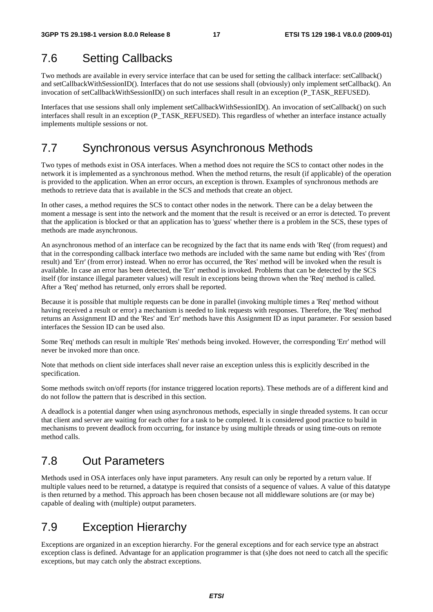## 7.6 Setting Callbacks

Two methods are available in every service interface that can be used for setting the callback interface: setCallback() and setCallbackWithSessionID(). Interfaces that do not use sessions shall (obviously) only implement setCallback(). An invocation of setCallbackWithSessionID() on such interfaces shall result in an exception (P\_TASK\_REFUSED).

Interfaces that use sessions shall only implement setCallbackWithSessionID(). An invocation of setCallback() on such interfaces shall result in an exception (P\_TASK\_REFUSED). This regardless of whether an interface instance actually implements multiple sessions or not.

### 7.7 Synchronous versus Asynchronous Methods

Two types of methods exist in OSA interfaces. When a method does not require the SCS to contact other nodes in the network it is implemented as a synchronous method. When the method returns, the result (if applicable) of the operation is provided to the application. When an error occurs, an exception is thrown. Examples of synchronous methods are methods to retrieve data that is available in the SCS and methods that create an object.

In other cases, a method requires the SCS to contact other nodes in the network. There can be a delay between the moment a message is sent into the network and the moment that the result is received or an error is detected. To prevent that the application is blocked or that an application has to 'guess' whether there is a problem in the SCS, these types of methods are made asynchronous.

An asynchronous method of an interface can be recognized by the fact that its name ends with 'Req' (from request) and that in the corresponding callback interface two methods are included with the same name but ending with 'Res' (from result) and 'Err' (from error) instead. When no error has occurred, the 'Res' method will be invoked when the result is available. In case an error has been detected, the 'Err' method is invoked. Problems that can be detected by the SCS itself (for instance illegal parameter values) will result in exceptions being thrown when the 'Req' method is called. After a 'Req' method has returned, only errors shall be reported.

Because it is possible that multiple requests can be done in parallel (invoking multiple times a 'Req' method without having received a result or error) a mechanism is needed to link requests with responses. Therefore, the 'Req' method returns an Assignment ID and the 'Res' and 'Err' methods have this Assignment ID as input parameter. For session based interfaces the Session ID can be used also.

Some 'Req' methods can result in multiple 'Res' methods being invoked. However, the corresponding 'Err' method will never be invoked more than once.

Note that methods on client side interfaces shall never raise an exception unless this is explicitly described in the specification.

Some methods switch on/off reports (for instance triggered location reports). These methods are of a different kind and do not follow the pattern that is described in this section.

A deadlock is a potential danger when using asynchronous methods, especially in single threaded systems. It can occur that client and server are waiting for each other for a task to be completed. It is considered good practice to build in mechanisms to prevent deadlock from occurring, for instance by using multiple threads or using time-outs on remote method calls.

## 7.8 Out Parameters

Methods used in OSA interfaces only have input parameters. Any result can only be reported by a return value. If multiple values need to be returned, a datatype is required that consists of a sequence of values. A value of this datatype is then returned by a method. This approach has been chosen because not all middleware solutions are (or may be) capable of dealing with (multiple) output parameters.

## 7.9 Exception Hierarchy

Exceptions are organized in an exception hierarchy. For the general exceptions and for each service type an abstract exception class is defined. Advantage for an application programmer is that (s)he does not need to catch all the specific exceptions, but may catch only the abstract exceptions.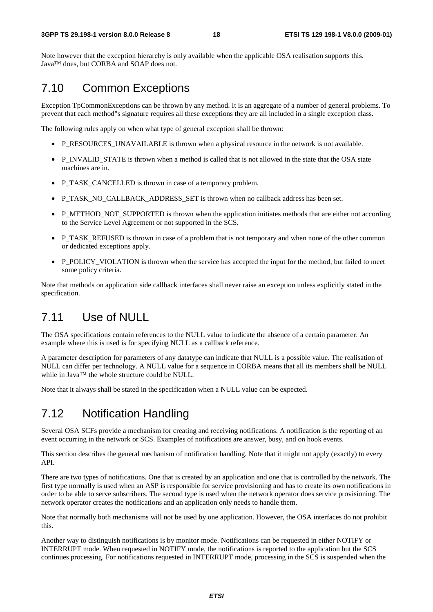Note however that the exception hierarchy is only available when the applicable OSA realisation supports this. Java™ does, but CORBA and SOAP does not.

### 7.10 Common Exceptions

Exception TpCommonExceptions can be thrown by any method. It is an aggregate of a number of general problems. To prevent that each method"s signature requires all these exceptions they are all included in a single exception class.

The following rules apply on when what type of general exception shall be thrown:

- P\_RESOURCES\_UNAVAILABLE is thrown when a physical resource in the network is not available.
- P\_INVALID\_STATE is thrown when a method is called that is not allowed in the state that the OSA state machines are in.
- P\_TASK\_CANCELLED is thrown in case of a temporary problem.
- P\_TASK\_NO\_CALLBACK\_ADDRESS\_SET is thrown when no callback address has been set.
- P\_METHOD\_NOT\_SUPPORTED is thrown when the application initiates methods that are either not according to the Service Level Agreement or not supported in the SCS.
- P\_TASK\_REFUSED is thrown in case of a problem that is not temporary and when none of the other common or dedicated exceptions apply.
- P\_POLICY\_VIOLATION is thrown when the service has accepted the input for the method, but failed to meet some policy criteria.

Note that methods on application side callback interfaces shall never raise an exception unless explicitly stated in the specification.

### 7.11 Use of NULL

The OSA specifications contain references to the NULL value to indicate the absence of a certain parameter. An example where this is used is for specifying NULL as a callback reference.

A parameter description for parameters of any datatype can indicate that NULL is a possible value. The realisation of NULL can differ per technology. A NULL value for a sequence in CORBA means that all its members shall be NULL while in Java™ the whole structure could be NULL.

Note that it always shall be stated in the specification when a NULL value can be expected.

## 7.12 Notification Handling

Several OSA SCFs provide a mechanism for creating and receiving notifications. A notification is the reporting of an event occurring in the network or SCS. Examples of notifications are answer, busy, and on hook events.

This section describes the general mechanism of notification handling. Note that it might not apply (exactly) to every API.

There are two types of notifications. One that is created by an application and one that is controlled by the network. The first type normally is used when an ASP is responsible for service provisioning and has to create its own notifications in order to be able to serve subscribers. The second type is used when the network operator does service provisioning. The network operator creates the notifications and an application only needs to handle them.

Note that normally both mechanisms will not be used by one application. However, the OSA interfaces do not prohibit this.

Another way to distinguish notifications is by monitor mode. Notifications can be requested in either NOTIFY or INTERRUPT mode. When requested in NOTIFY mode, the notifications is reported to the application but the SCS continues processing. For notifications requested in INTERRUPT mode, processing in the SCS is suspended when the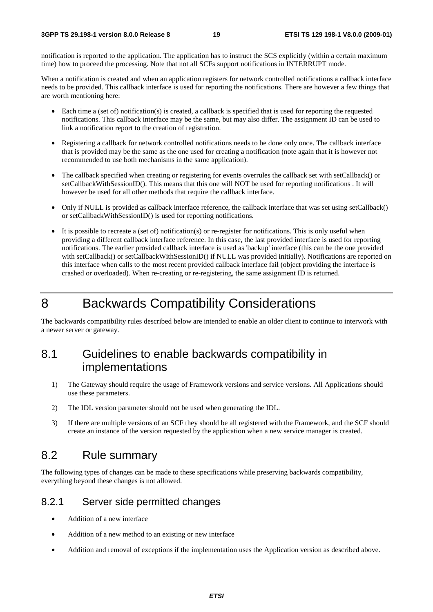notification is reported to the application. The application has to instruct the SCS explicitly (within a certain maximum time) how to proceed the processing. Note that not all SCFs support notifications in INTERRUPT mode.

When a notification is created and when an application registers for network controlled notifications a callback interface needs to be provided. This callback interface is used for reporting the notifications. There are however a few things that are worth mentioning here:

- Each time a (set of) notification(s) is created, a callback is specified that is used for reporting the requested notifications. This callback interface may be the same, but may also differ. The assignment ID can be used to link a notification report to the creation of registration.
- Registering a callback for network controlled notifications needs to be done only once. The callback interface that is provided may be the same as the one used for creating a notification (note again that it is however not recommended to use both mechanisms in the same application).
- The callback specified when creating or registering for events overrules the callback set with setCallback() or setCallbackWithSessionID(). This means that this one will NOT be used for reporting notifications . It will however be used for all other methods that require the callback interface.
- Only if NULL is provided as callback interface reference, the callback interface that was set using setCallback() or setCallbackWithSessionID() is used for reporting notifications.
- It is possible to recreate a (set of) notification(s) or re-register for notifications. This is only useful when providing a different callback interface reference. In this case, the last provided interface is used for reporting notifications. The earlier provided callback interface is used as 'backup' interface (this can be the one provided with setCallback() or setCallbackWithSessionID() if NULL was provided initially). Notifications are reported on this interface when calls to the most recent provided callback interface fail (object providing the interface is crashed or overloaded). When re-creating or re-registering, the same assignment ID is returned.

## 8 Backwards Compatibility Considerations

The backwards compatibility rules described below are intended to enable an older client to continue to interwork with a newer server or gateway.

### 8.1 Guidelines to enable backwards compatibility in implementations

- 1) The Gateway should require the usage of Framework versions and service versions. All Applications should use these parameters.
- 2) The IDL version parameter should not be used when generating the IDL.
- 3) If there are multiple versions of an SCF they should be all registered with the Framework, and the SCF should create an instance of the version requested by the application when a new service manager is created.

#### 8.2 Rule summary

The following types of changes can be made to these specifications while preserving backwards compatibility, everything beyond these changes is not allowed.

#### 8.2.1 Server side permitted changes

- Addition of a new interface
- Addition of a new method to an existing or new interface
- Addition and removal of exceptions if the implementation uses the Application version as described above.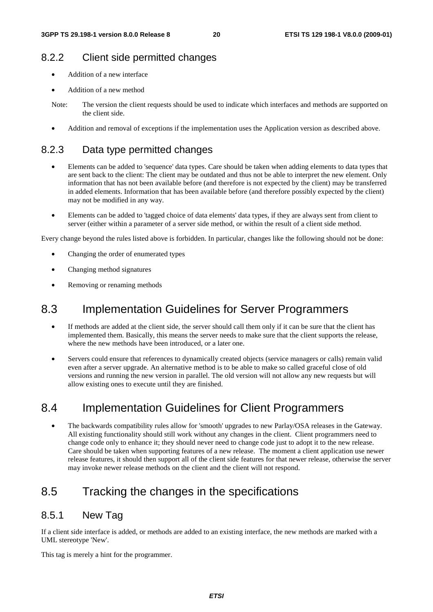#### 8.2.2 Client side permitted changes

- Addition of a new interface
- Addition of a new method

• Addition and removal of exceptions if the implementation uses the Application version as described above.

#### 8.2.3 Data type permitted changes

- Elements can be added to 'sequence' data types. Care should be taken when adding elements to data types that are sent back to the client: The client may be outdated and thus not be able to interpret the new element. Only information that has not been available before (and therefore is not expected by the client) may be transferred in added elements. Information that has been available before (and therefore possibly expected by the client) may not be modified in any way.
- Elements can be added to 'tagged choice of data elements' data types, if they are always sent from client to server (either within a parameter of a server side method, or within the result of a client side method.

Every change beyond the rules listed above is forbidden. In particular, changes like the following should not be done:

- Changing the order of enumerated types
- Changing method signatures
- Removing or renaming methods

### 8.3 Implementation Guidelines for Server Programmers

- If methods are added at the client side, the server should call them only if it can be sure that the client has implemented them. Basically, this means the server needs to make sure that the client supports the release, where the new methods have been introduced, or a later one.
- Servers could ensure that references to dynamically created objects (service managers or calls) remain valid even after a server upgrade. An alternative method is to be able to make so called graceful close of old versions and running the new version in parallel. The old version will not allow any new requests but will allow existing ones to execute until they are finished.

## 8.4 Implementation Guidelines for Client Programmers

• The backwards compatibility rules allow for 'smooth' upgrades to new Parlay/OSA releases in the Gateway. All existing functionality should still work without any changes in the client. Client programmers need to change code only to enhance it; they should never need to change code just to adopt it to the new release. Care should be taken when supporting features of a new release. The moment a client application use newer release features, it should then support all of the client side features for that newer release, otherwise the server may invoke newer release methods on the client and the client will not respond.

## 8.5 Tracking the changes in the specifications

#### 8.5.1 New Tag

If a client side interface is added, or methods are added to an existing interface, the new methods are marked with a UML stereotype 'New'.

This tag is merely a hint for the programmer.

Note: The version the client requests should be used to indicate which interfaces and methods are supported on the client side.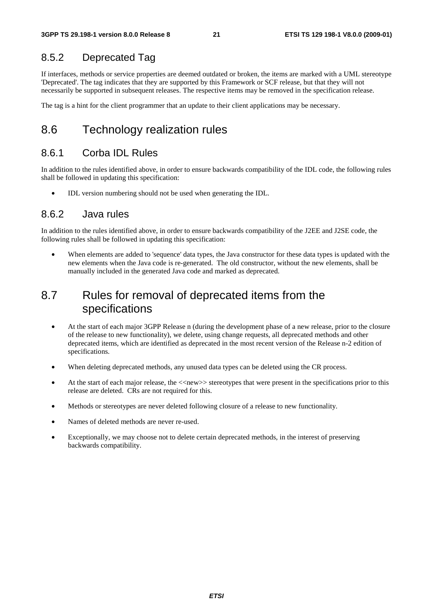#### 8.5.2 Deprecated Tag

If interfaces, methods or service properties are deemed outdated or broken, the items are marked with a UML stereotype 'Deprecated'. The tag indicates that they are supported by this Framework or SCF release, but that they will not necessarily be supported in subsequent releases. The respective items may be removed in the specification release.

The tag is a hint for the client programmer that an update to their client applications may be necessary.

### 8.6 Technology realization rules

#### 8.6.1 Corba IDL Rules

In addition to the rules identified above, in order to ensure backwards compatibility of the IDL code, the following rules shall be followed in updating this specification:

• IDL version numbering should not be used when generating the IDL.

#### 8.6.2 Java rules

In addition to the rules identified above, in order to ensure backwards compatibility of the J2EE and J2SE code, the following rules shall be followed in updating this specification:

When elements are added to 'sequence' data types, the Java constructor for these data types is updated with the new elements when the Java code is re-generated. The old constructor, without the new elements, shall be manually included in the generated Java code and marked as deprecated.

### 8.7 Rules for removal of deprecated items from the specifications

- At the start of each major 3GPP Release n (during the development phase of a new release, prior to the closure of the release to new functionality), we delete, using change requests, all deprecated methods and other deprecated items, which are identified as deprecated in the most recent version of the Release n-2 edition of specifications.
- When deleting deprecated methods, any unused data types can be deleted using the CR process.
- At the start of each major release, the  $\langle$ -new  $\rangle$  stereotypes that were present in the specifications prior to this release are deleted. CRs are not required for this.
- Methods or stereotypes are never deleted following closure of a release to new functionality.
- Names of deleted methods are never re-used.
- Exceptionally, we may choose not to delete certain deprecated methods, in the interest of preserving backwards compatibility.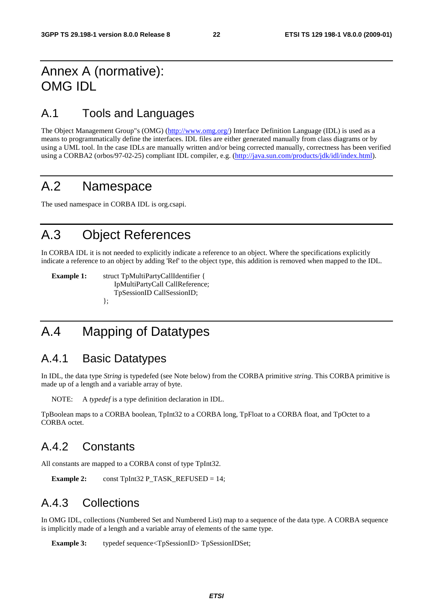## Annex A (normative): OMG IDL

### A.1 Tools and Languages

The Object Management Group"s (OMG) (<http://www.omg.org/>) Interface Definition Language (IDL) is used as a means to programmatically define the interfaces. IDL files are either generated manually from class diagrams or by using a UML tool. In the case IDLs are manually written and/or being corrected manually, correctness has been verified using a CORBA2 (orbos/97-02-25) compliant IDL compiler, e.g. (<http://java.sun.com/products/jdk/idl/index.html>).

## A.2 Namespace

The used namespace in CORBA IDL is org.csapi.

## A.3 Object References

In CORBA IDL it is not needed to explicitly indicate a reference to an object. Where the specifications explicitly indicate a reference to an object by adding 'Ref' to the object type, this addition is removed when mapped to the IDL.

**Example 1:** struct TpMultiPartyCallIdentifier { IpMultiPartyCall CallReference; TpSessionID CallSessionID; };

## A.4 Mapping of Datatypes

#### A.4.1 Basic Datatypes

In IDL, the data type *String* is typedefed (see Note below) from the CORBA primitive *string*. This CORBA primitive is made up of a length and a variable array of byte.

NOTE: A *typedef* is a type definition declaration in IDL.

TpBoolean maps to a CORBA boolean, TpInt32 to a CORBA long, TpFloat to a CORBA float, and TpOctet to a CORBA octet.

### A.4.2 Constants

All constants are mapped to a CORBA const of type TpInt32.

**Example 2:**  $\qquad \text{const}$  TpInt32 P\_TASK\_REFUSED = 14;

### A.4.3 Collections

In OMG IDL, collections (Numbered Set and Numbered List) map to a sequence of the data type. A CORBA sequence is implicitly made of a length and a variable array of elements of the same type.

**Example 3:** typedef sequence<TpSessionID>TpSessionIDSet;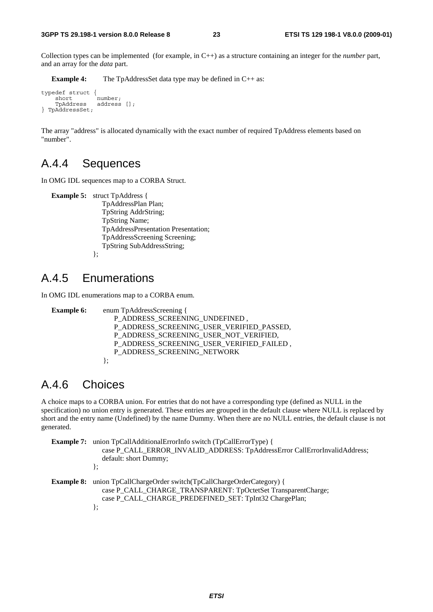Collection types can be implemented (for example, in C++) as a structure containing an integer for the *number* part, and an array for the *data* part.

**Example 4:** The TpAddressSet data type may be defined in C++ as:

```
typedef struct { 
     short number;<br>TpAddress address
                     address [];
} TpAddressSet;
```
The array "address" is allocated dynamically with the exact number of required TpAddress elements based on "number".

#### A.4.4 Sequences

In OMG IDL sequences map to a CORBA Struct.

```
Example 5: struct TpAddress { 
                  TpAddressPlan Plan; 
                  TpString AddrString; 
                  TpString Name; 
                  TpAddressPresentation Presentation; 
                  TpAddressScreening Screening; 
                  TpString SubAddressString; 
              };
```
#### A.4.5 Enumerations

In OMG IDL enumerations map to a CORBA enum.

```
Example 6: enum TpAddressScreening {
                P_ADDRESS_SCREENING_UNDEFINED ,
               P_ADDRESS_SCREENING_USER_VERIFIED_PASSED,
                P_ADDRESS_SCREENING_USER_NOT_VERIFIED, 
                P_ADDRESS_SCREENING_USER_VERIFIED_FAILED , 
               P_ADDRESS_SCREENING_NETWORK
            };
```
#### A.4.6 Choices

A choice maps to a CORBA union. For entries that do not have a corresponding type (defined as NULL in the specification) no union entry is generated. These entries are grouped in the default clause where NULL is replaced by short and the entry name (Undefined) by the name Dummy. When there are no NULL entries, the default clause is not generated.

```
Example 7: union TpCallAdditionalErrorInfo switch (TpCallErrorType) {
              case P_CALL_ERROR_INVALID_ADDRESS: TpAddressError CallErrorInvalidAddress;
                default: short Dummy; 
            }; 
Example 8: union TpCallChargeOrder switch(TpCallChargeOrderCategory) {
               case P_CALL_CHARGE_TRANSPARENT: TpOctetSet TransparentCharge; 
                case P_CALL_CHARGE_PREDEFINED_SET: TpInt32 ChargePlan; 
            };
```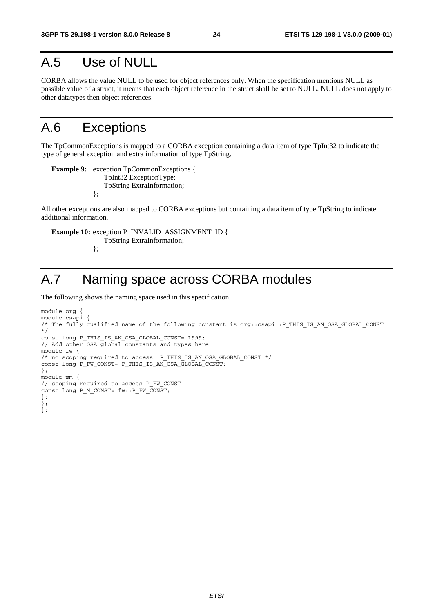## A.5 Use of NULL

CORBA allows the value NULL to be used for object references only. When the specification mentions NULL as possible value of a struct, it means that each object reference in the struct shall be set to NULL. NULL does not apply to other datatypes then object references.

## A.6 Exceptions

The TpCommonExceptions is mapped to a CORBA exception containing a data item of type TpInt32 to indicate the type of general exception and extra information of type TpString.

**Example 9:** exception TpCommonExceptions { TpInt32 ExceptionType; TpString ExtraInformation; };

All other exceptions are also mapped to CORBA exceptions but containing a data item of type TpString to indicate additional information.

**Example 10: exception P\_INVALID\_ASSIGNMENT\_ID {**  TpString ExtraInformation; };

## A.7 Naming space across CORBA modules

The following shows the naming space used in this specification.

```
module org { 
module csapi { 
/* The fully qualified name of the following constant is org::csapi::P_THIS_IS_AN_OSA_GLOBAL_CONST 
\frac{1}{\ast}/
const long P_THIS_IS_AN_OSA_GLOBAL_CONST= 1999; 
// Add other OSA global constants and types here 
module fw { 
/* no scoping required to access P_THIS_IS_AN_OSA_GLOBAL_CONST */ 
const long P_FW_CONST= P_THIS_IS_AN_OSA_GLOBAL_CONST; 
}; 
module mm { 
// scoping required to access P_FW_CONST 
const long P_M_CONST= fw::P_FW_CONST; 
}; 
}; 
};
```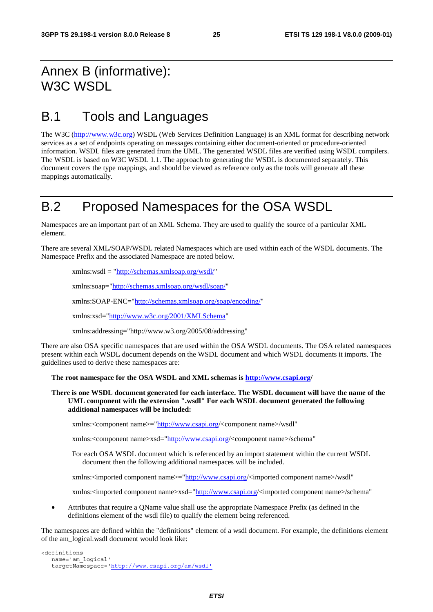## Annex B (informative): W3C WSDL

## B.1 Tools and Languages

The W3C ([http://www.w3c.org](http://www.w3c.org/)) WSDL (Web Services Definition Language) is an XML format for describing network services as a set of endpoints operating on messages containing either document-oriented or procedure-oriented information. WSDL files are generated from the UML. The generated WSDL files are verified using WSDL compilers. The WSDL is based on W3C WSDL 1.1. The approach to generating the WSDL is documented separately. This document covers the type mappings, and should be viewed as reference only as the tools will generate all these mappings automatically.

## B.2 Proposed Namespaces for the OSA WSDL

Namespaces are an important part of an XML Schema. They are used to qualify the source of a particular XML element.

There are several XML/SOAP/WSDL related Namespaces which are used within each of the WSDL documents. The Namespace Prefix and the associated Namespace are noted below.

xmlns:wsdl = "<http://schemas.xmlsoap.org/wsdl/>"

xmlns:soap="<http://schemas.xmlsoap.org/wsdl/soap/>"

xmlns:SOAP-ENC="<http://schemas.xmlsoap.org/soap/encoding/>"

xmlns:xsd="<http://www.w3c.org/2001/XMLSchema>"

xmlns:addressing="http://www.w3.org/2005/08/addressing"

There are also OSA specific namespaces that are used within the OSA WSDL documents. The OSA related namespaces present within each WSDL document depends on the WSDL document and which WSDL documents it imports. The guidelines used to derive these namespaces are:

#### **The root namespace for the OSA WSDL and XML schemas is<http://www.csapi.org/>**

#### **There is one WSDL document generated for each interface. The WSDL document will have the name of the UML component with the extension ".wsdl" For each WSDL document generated the following additional namespaces will be included:**

xmlns:<component name>="[http://www.csapi.org](http://www.csapi.org/)/<component name>/wsdl"

xmlns:<component name>xsd="[http://www.csapi.org](http://www.csapi.org/)/<component name>/schema"

For each OSA WSDL document which is referenced by an import statement within the current WSDL document then the following additional namespaces will be included.

xmlns:<imported component name>="[http://www.csapi.org](http://www.csapi.org/)/<imported component name>/wsdl"

xmlns:<imported component name>xsd="[http://www.csapi.org](http://www.csapi.org/)/<imported component name>/schema"

• Attributes that require a QName value shall use the appropriate Namespace Prefix (as defined in the definitions element of the wsdl file) to qualify the element being referenced.

The namespaces are defined within the "definitions" element of a wsdl document. For example, the definitions element of the am\_logical.wsdl document would look like:

```
<definitions 
   name='am_logical' 
    targetNamespace='http://www.csapi.org/am/wsdl'
```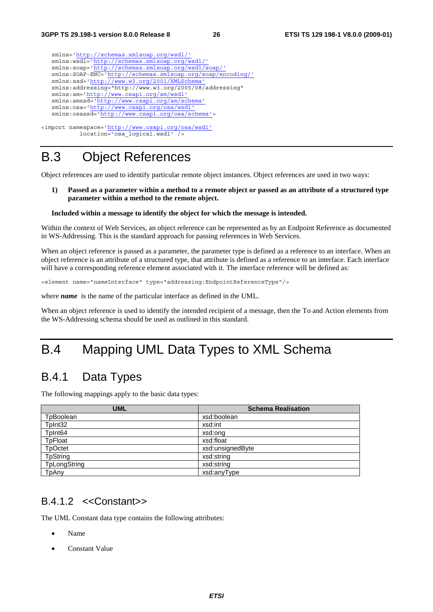

#### location='osa\_logical.wsdl' />

## B.3 Object References

Object references are used to identify particular remote object instances. Object references are used in two ways:

**1) Passed as a parameter within a method to a remote object or passed as an attribute of a structured type parameter within a method to the remote object.** 

#### **Included within a message to identify the object for which the message is intended.**

Within the context of Web Services, an object reference can be represented as by an Endpoint Reference as documented in WS-Addressing. This is the standard approach for passing references in Web Services.

When an object reference is passed as a parameter, the parameter type is defined as a reference to an interface. When an object reference is an attribute of a structured type, that attribute is defined as a reference to an interface. Each interface will have a corresponding reference element associated with it. The interface reference will be defined as:

<element name="*name*Interface" type="addressing:EndpointReferenceType"/>

where *name* is the name of the particular interface as defined in the UML.

When an object reference is used to identify the intended recipient of a message, then the To and Action elements from the WS-Addressing schema should be used as outlined in this standard.

## B.4 Mapping UML Data Types to XML Schema

### B.4.1 Data Types

The following mappings apply to the basic data types:

| <b>UML</b>          | <b>Schema Realisation</b> |
|---------------------|---------------------------|
| TpBoolean           | xsd:boolean               |
| TpInt32             | xsd:int                   |
| TpInt <sub>64</sub> | xsd:ong                   |
| <b>TpFloat</b>      | xsd:float                 |
| <b>TpOctet</b>      | xsd:unsignedByte          |
| <b>TpString</b>     | xsd:string                |
| TpLongString        | xsd:string                |
| TpAny               | xsd:anyType               |

#### B.4.1.2 <<Constant>>

The UML Constant data type contains the following attributes:

- Name
- Constant Value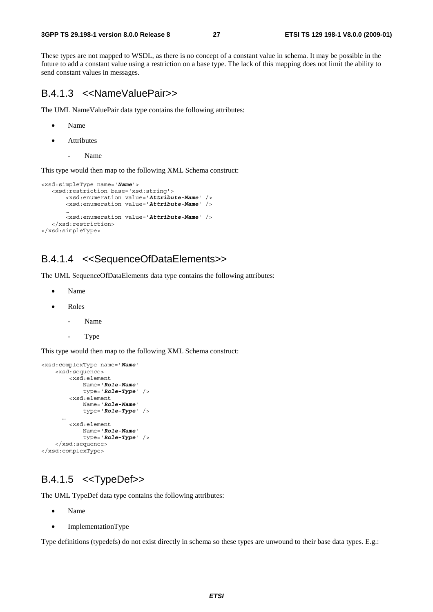These types are not mapped to WSDL, as there is no concept of a constant value in schema. It may be possible in the future to add a constant value using a restriction on a base type. The lack of this mapping does not limit the ability to send constant values in messages.

#### B.4.1.3 <<NameValuePair>>

The UML NameValuePair data type contains the following attributes:

- Name
- **Attributes** 
	- Name

This type would then map to the following XML Schema construct:

```
<xsd:simpleType name='Name'> 
    <xsd:restriction base='xsd:string'> 
        <xsd:enumeration value='Attribute-Name' /> 
        <xsd:enumeration value='Attribute-Name' /> 
 … 
        <xsd:enumeration value='Attribute-Name' /> 
    </xsd:restriction> 
</xsd:simpleType>
```
#### B.4.1.4 <<SequenceOfDataElements>>

The UML SequenceOfDataElements data type contains the following attributes:

- Name
- Roles
	- Name
	- Type

This type would then map to the following XML Schema construct:

```
<xsd:complexType name='Name' 
     <xsd:sequence> 
         <xsd:element 
             Name='Role-Name' 
              type='Role–Type' /> 
         <xsd:element 
              Name='Role-Name' 
              type='Role–Type' /> 
 … 
         <xsd:element 
             Name='Role-Name' 
              type='Role–Type' /> 
     </xsd:sequence> 
</xsd:complexType>
```
#### B.4.1.5 <<TypeDef>>

The UML TypeDef data type contains the following attributes:

- Name
- ImplementationType

Type definitions (typedefs) do not exist directly in schema so these types are unwound to their base data types. E.g.: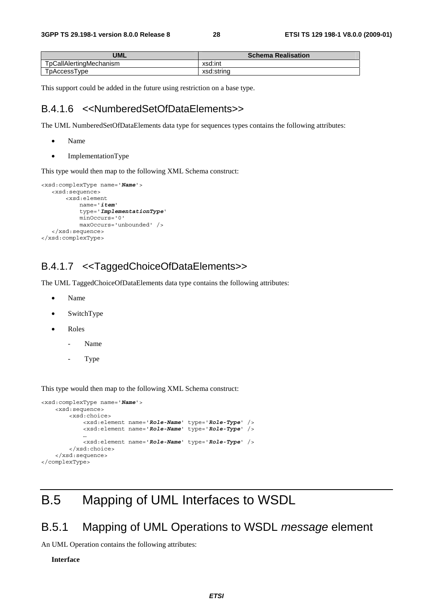| <b>UML</b>              | <b>Schema Realisation</b> |
|-------------------------|---------------------------|
| TpCallAlertingMechanism | xsd:int                   |
| TpAccessType            | xsd:string                |

This support could be added in the future using restriction on a base type.

#### B.4.1.6 <<NumberedSetOfDataElements>>

The UML NumberedSetOfDataElements data type for sequences types contains the following attributes:

- Name
- ImplementationType

This type would then map to the following XML Schema construct:

```
<xsd:complexType name='Name'> 
    <xsd:sequence> 
        <xsd:element 
             name='item' 
             type='ImplementationType' 
             minOccurs='0' 
             maxOccurs='unbounded' /> 
    </xsd:sequence> 
</xsd:complexType>
```
#### B.4.1.7 <<TaggedChoiceOfDataElements>>

The UML TaggedChoiceOfDataElements data type contains the following attributes:

- Name
- SwitchType
- Roles
	- Name
	- Type

This type would then map to the following XML Schema construct:

```
<xsd:complexType name='Name'> 
     <xsd:sequence> 
         <xsd:choice> 
             <xsd:element name='Role-Name' type='Role-Type' /> 
             <xsd:element name='Role-Name' type='Role-Type' /> 
 … 
             <xsd:element name='Role-Name' type='Role-Type' /> 
         </xsd:choice> 
     </xsd:sequence> 
</complexType>
```
## B.5 Mapping of UML Interfaces to WSDL

#### B.5.1 Mapping of UML Operations to WSDL *message* element

An UML Operation contains the following attributes:

**Interface**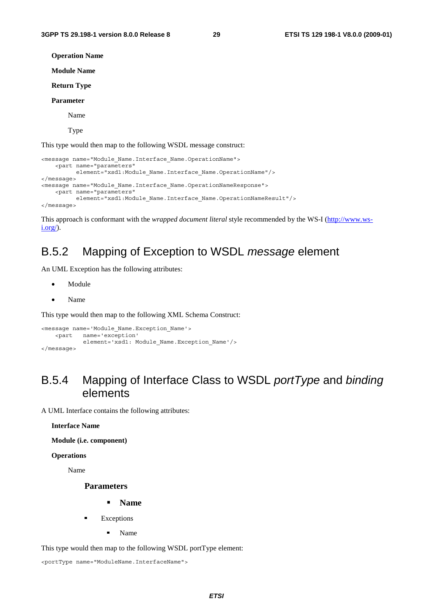**Operation Name Module Name Return Type** 

#### **Parameter**

Name

Type

This type would then map to the following WSDL message construct:

```
<message name="Module_Name.Interface_Name.OperationName"> 
     <part name="parameters" 
          element="xsd1:Module_Name.Interface_Name.OperationName"/> 
</message> 
<message name="Module_Name.Interface_Name.OperationNameResponse"> 
     <part name="parameters" 
           element="xsd1:Module_Name.Interface_Name.OperationNameResult"/> 
</message>
```
This approach is conformant with the *wrapped document literal* style recommended by the WS-I ([http://www.ws](http://www.ws-i.org/)[i.org/](http://www.ws-i.org/)).

### B.5.2 Mapping of Exception to WSDL *message* element

An UML Exception has the following attributes:

- Module
- Name

This type would then map to the following XML Schema Construct:

```
<message name='Module_Name.Exception_Name'> 
     <part name='exception' 
            element='xsd1: Module Name.Exception Name'/>
</message>
```
### B.5.4 Mapping of Interface Class to WSDL *portType* and *binding* elements

A UML Interface contains the following attributes:

**Interface Name** 

**Module (i.e. component)** 

**Operations** 

Name

#### **Parameters**

- **Name**
- Exceptions<br>Nam
	- Name

This type would then map to the following WSDL portType element:

<portType name="ModuleName.InterfaceName">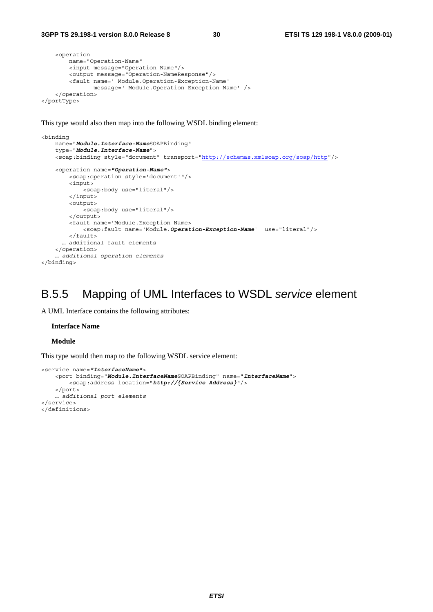```
 <operation 
         name="Operation-Name" 
         <input message="Operation-Name"/> 
         <output message="Operation-NameResponse"/> 
         <fault name=' Module.Operation-Exception-Name' 
                message=' Module.Operation–Exception–Name' /> 
     </operation> 
</portType>
```
This type would also then map into the following WSDL binding element:

```
<binding 
     name="Module.Interface-NameSOAPBinding" 
     type="Module.Interface-Name"> 
     <soap:binding style="document" transport="http://schemas.xmlsoap.org/soap/http"/> 
     <operation name="Operation-Name"> 
         <soap:operation style='document'"/> 
         <input> 
             <soap:body use="literal"/> 
         </input> 
         <output> 
             <soap:body use="literal"/> 
         </output> 
         <fault name='Module.Exception-Name> 
             <soap:fault name='Module.Operation-Exception-Name' use="literal"/> 
         </fault> 
       … additional fault elements 
     </operation> 
    … additional operation elements
</binding>
```
### B.5.5 Mapping of UML Interfaces to WSDL *service* element

A UML Interface contains the following attributes:

#### **Interface Name**

**Module** 

This type would then map to the following WSDL service element:

```
<service name="InterfaceName"> 
     <port binding="Module.InterfaceNameSOAPBinding" name="InterfaceName"> 
        <soap:address location="http://{Service Address}"/> 
     </port> 
    … additional port elements
</service> 
</definitions>
```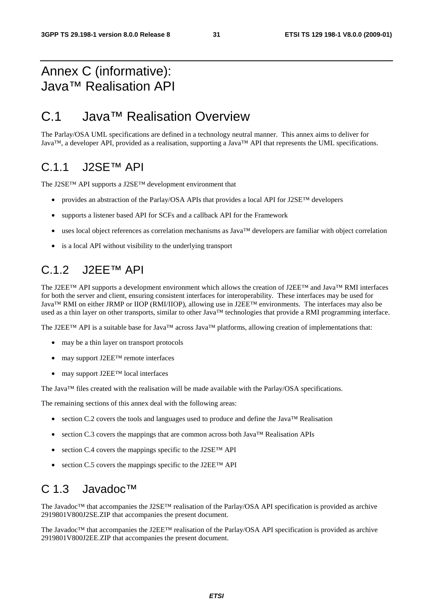## Annex C (informative): Java™ Realisation API

## C.1 Java™ Realisation Overview

The Parlay/OSA UML specifications are defined in a technology neutral manner. This annex aims to deliver for Java™, a developer API, provided as a realisation, supporting a Java™ API that represents the UML specifications.

#### C.1.1 J2SE™ API

The J2SE™ API supports a J2SE™ development environment that

- provides an abstraction of the Parlay/OSA APIs that provides a local API for J2SE™ developers
- supports a listener based API for SCFs and a callback API for the Framework
- uses local object references as correlation mechanisms as Java™ developers are familiar with object correlation
- is a local API without visibility to the underlying transport

## C.1.2 J2EE™ API

The J2EE™ API supports a development environment which allows the creation of J2EE™ and Java™ RMI interfaces for both the server and client, ensuring consistent interfaces for interoperability. These interfaces may be used for Java™ RMI on either JRMP or IIOP (RMI/IIOP), allowing use in J2EE™ environments. The interfaces may also be used as a thin layer on other transports, similar to other Java™ technologies that provide a RMI programming interface.

The J2EE™ API is a suitable base for Java™ across Java™ platforms, allowing creation of implementations that:

- may be a thin layer on transport protocols
- may support J2EE<sup>TM</sup> remote interfaces
- may support J2EE<sup>TM</sup> local interfaces

The Java™ files created with the realisation will be made available with the Parlay/OSA specifications.

The remaining sections of this annex deal with the following areas:

- section C.2 covers the tools and languages used to produce and define the Java™ Realisation
- section C.3 covers the mappings that are common across both Java™ Realisation APIs
- section C.4 covers the mappings specific to the J2SE<sup>TM</sup> API
- section C.5 covers the mappings specific to the J2EE<sup>TM</sup> API

#### C 1.3 Javadoc™

The Javadoc™ that accompanies the J2SE™ realisation of the Parlay/OSA API specification is provided as archive 2919801V800J2SE.ZIP that accompanies the present document.

The Javadoc™ that accompanies the J2EE™ realisation of the Parlay/OSA API specification is provided as archive 2919801V800J2EE.ZIP that accompanies the present document.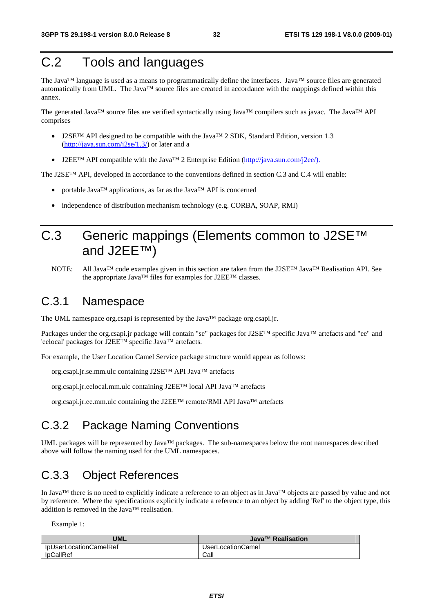## C.2 Tools and languages

The Java™ language is used as a means to programmatically define the interfaces. Java™ source files are generated automatically from UML. The Java<sup>TM</sup> source files are created in accordance with the mappings defined within this annex.

The generated Java™ source files are verified syntactically using Java™ compilers such as javac. The Java™ API comprises

- J2SE<sup>™</sup> API designed to be compatible with the Java<sup>™</sup> 2 SDK, Standard Edition, version 1.3  $(http://java.sun.com/j2se/1.3/)$  $(http://java.sun.com/j2se/1.3/)$  or later and a
- J2EE<sup>TM</sup> API compatible with the Java<sup>TM</sup> 2 Enterprise Edition [\(http://java.sun.com/j2ee/\).](http://java.sun.com/j2ee/)

The J2SE™ API, developed in accordance to the conventions defined in section C.3 and C.4 will enable:

- portable Java™ applications, as far as the Java™ API is concerned
- independence of distribution mechanism technology (e.g. CORBA, SOAP, RMI)

## C.3 Generic mappings (Elements common to J2SE™ and J2EE™)

NOTE: All Java™ code examples given in this section are taken from the J2SE™ Java™ Realisation API. See the appropriate Java™ files for examples for J2EE™ classes.

## C.3.1 Namespace

The UML namespace org.csapi is represented by the Java™ package org.csapi.jr.

Packages under the org.csapi.jr package will contain "se" packages for J2SE™ specific Java™ artefacts and "ee" and 'eelocal' packages for J2EE™ specific Java™ artefacts.

For example, the User Location Camel Service package structure would appear as follows:

org.csapi.jr.se.mm.ulc containing J2SE™ API Java™ artefacts

org.csapi.jr.eelocal.mm.ulc containing J2EE™ local API Java™ artefacts

org.csapi.jr.ee.mm.ulc containing the J2EE™ remote/RMI API Java™ artefacts

### C.3.2 Package Naming Conventions

UML packages will be represented by Java™ packages. The sub-namespaces below the root namespaces described above will follow the naming used for the UML namespaces.

### C.3.3 Object References

In Java™ there is no need to explicitly indicate a reference to an object as in Java™ objects are passed by value and not by reference. Where the specifications explicitly indicate a reference to an object by adding 'Ref' to the object type, this addition is removed in the Java™ realisation.

Example 1:

| <b>UML</b>             | Java <sup>™</sup> Realisation |
|------------------------|-------------------------------|
| IpUserLocationCameIRef | UserLocationCamel             |
| lpCallRef              | Call                          |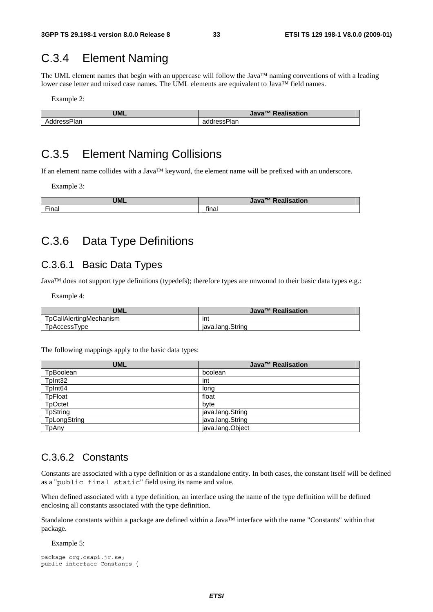## C.3.4 Element Naming

The UML element names that begin with an uppercase will follow the Java™ naming conventions of with a leading lower case letter and mixed case names. The UML elements are equivalent to Java™ field names.

Example 2:

| <b>UML</b>  | Java <sup>™</sup> Realisation |
|-------------|-------------------------------|
| AddressPlan | addressPlan                   |

## C.3.5 Element Naming Collisions

If an element name collides with a Java™ keyword, the element name will be prefixed with an underscore.

Example 3:

| <b>UML</b> | <b>Ilisation</b><br>TM Doo<br>Java <sup>-</sup> |
|------------|-------------------------------------------------|
| Final      | final<br>_                                      |

### C.3.6 Data Type Definitions

#### C.3.6.1 Basic Data Types

Java™ does not support type definitions (typedefs); therefore types are unwound to their basic data types e.g.:

Example 4:

| <b>UML</b>              | Java <sup>™</sup> Realisation |
|-------------------------|-------------------------------|
| TpCallAlertingMechanism | int                           |
| TpAccessType            | iava.lang.String              |

The following mappings apply to the basic data types:

| <b>UML</b>          | Java <sup>™</sup> Realisation |
|---------------------|-------------------------------|
| TpBoolean           | boolean                       |
| TpInt32             | int                           |
| TpInt <sub>64</sub> | long                          |
| TpFloat             | float                         |
| <b>TpOctet</b>      | byte                          |
| <b>TpString</b>     | java.lang.String              |
| TpLongString        | java.lang.String              |
| TpAny               | java.lang.Object              |

#### C.3.6.2 Constants

Constants are associated with a type definition or as a standalone entity. In both cases, the constant itself will be defined as a "public final static" field using its name and value.

When defined associated with a type definition, an interface using the name of the type definition will be defined enclosing all constants associated with the type definition.

Standalone constants within a package are defined within a Java™ interface with the name "Constants" within that package.

Example 5:

```
package org.csapi.jr.se; 
public interface Constants {
```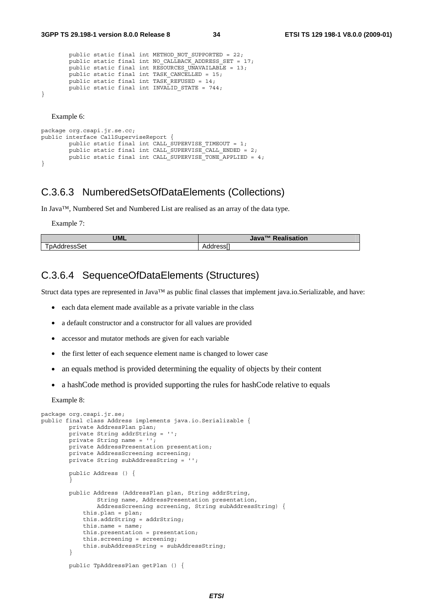```
public static final int METHOD NOT SUPPORTED = 22;
        public static final int NO CALLBACK ADDRESS SET = 17;
        public static final int RESOURCES UNAVAILABLE = 13;
         public static final int TASK_CANCELLED = 15; 
        public static final int TASK REFUSED = 14;
       public static final int INVALID STATE = 744;
}
```
Example 6:

```
package org.csapi.jr.se.cc; 
public interface CallSuperviseReport { 
         public static final int CALL_SUPERVISE_TIMEOUT = 1; 
        public static final int CALL SUPERVISE CALL ENDED = 2;
        public static final int CALL SUPERVISE TONE APPLIED = 4;
}
```
#### C.3.6.3 NumberedSetsOfDataElements (Collections)

In Java™, Numbered Set and Numbered List are realised as an array of the data type.

Example 7:

| UML           | $TM$ $Da2$<br><b>Realisation</b><br>Java |
|---------------|------------------------------------------|
| l pAddressSet | --<br>Addressi                           |

#### C.3.6.4 SequenceOfDataElements (Structures)

Struct data types are represented in Java™ as public final classes that implement java.io.Serializable, and have:

- each data element made available as a private variable in the class
- a default constructor and a constructor for all values are provided
- accessor and mutator methods are given for each variable
- the first letter of each sequence element name is changed to lower case
- an equals method is provided determining the equality of objects by their content
- a hashCode method is provided supporting the rules for hashCode relative to equals

Example 8:

```
package org.csapi.jr.se; 
public final class Address implements java.io.Serializable { 
         private AddressPlan plan; 
         private String addrString = ''; 
         private String name = ''; 
         private AddressPresentation presentation; 
         private AddressScreening screening; 
         private String subAddressString = ''; 
         public Address () { 
 } 
         public Address (AddressPlan plan, String addrString, 
                  String name, AddressPresentation presentation, 
                 AddressScreening screening, String subAddressString) { 
             this.plan = plan; 
             this.addrString = addrString; 
            this.name = name;
             this.presentation = presentation; 
             this.screening = screening; 
             this.subAddressString = subAddressString; 
         } 
         public TpAddressPlan getPlan () {
```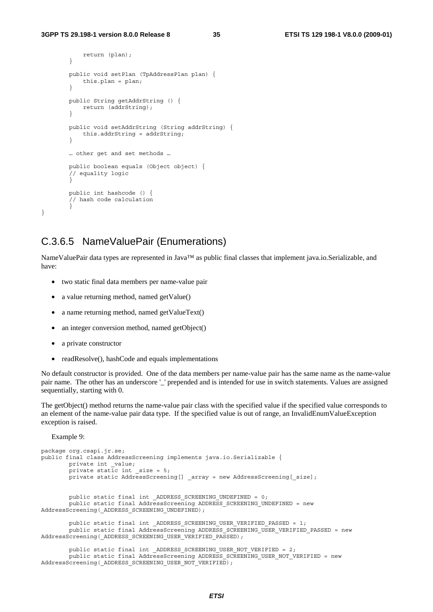```
 return (plan); 
 } 
        public void setPlan (TpAddressPlan plan) { 
            this.plan = plan; 
 } 
        public String getAddrString () { 
            return (addrString); 
 } 
        public void setAddrString (String addrString) { 
            this.addrString = addrString; 
 } 
        … other get and set methods … 
        public boolean equals (Object object) { 
        // equality logic 
 } 
        public int hashcode () { 
        // hash code calculation 
 }
```
#### C.3.6.5 NameValuePair (Enumerations)

NameValuePair data types are represented in Java™ as public final classes that implement java.io.Serializable, and have:

- two static final data members per name-value pair
- a value returning method, named getValue()
- a name returning method, named getValueText()
- an integer conversion method, named getObject()
- a private constructor
- readResolve(), hashCode and equals implementations

AddressScreening( ADDRESS SCREENING USER NOT VERIFIED);

No default constructor is provided. One of the data members per name-value pair has the same name as the name-value pair name. The other has an underscore '\_' prepended and is intended for use in switch statements. Values are assigned sequentially, starting with 0.

The getObject() method returns the name-value pair class with the specified value if the specified value corresponds to an element of the name-value pair data type. If the specified value is out of range, an InvalidEnumValueException exception is raised.

Example 9:

}

```
package org.csapi.jr.se; 
public final class AddressScreening implements java.io.Serializable { 
         private int _value; 
        private static int size = 5; private static AddressScreening[] _array = new AddressScreening[_size]; 
         public static final int _ADDRESS_SCREENING_UNDEFINED = 0; 
         public static final AddressScreening ADDRESS_SCREENING_UNDEFINED = new 
AddressScreening( ADDRESS SCREENING UNDEFINED);
        public static final int _ADDRESS SCREENING USER VERIFIED PASSED = 1;
         public static final AddressScreening ADDRESS_SCREENING_USER_VERIFIED_PASSED = new 
AddressScreening(_ADDRESS_SCREENING_USER_VERIFIED_PASSED); 
         public static final int _ADDRESS_SCREENING_USER_NOT_VERIFIED = 2; 
         public static final AddressScreening ADDRESS_SCREENING_USER_NOT_VERIFIED = new
```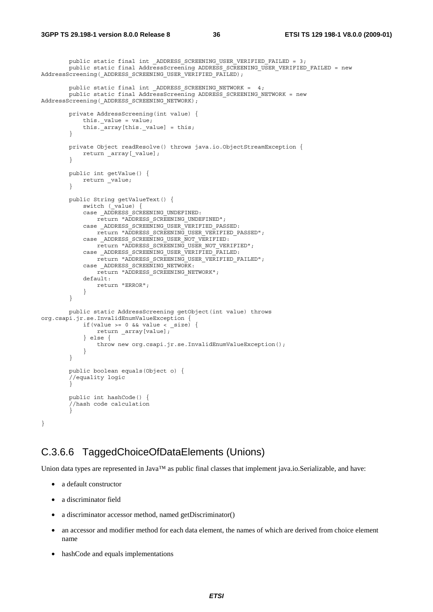```
public static final int ADDRESS SCREENING USER VERIFIED FAILED = 3;
 public static final AddressScreening ADDRESS_SCREENING_USER_VERIFIED_FAILED = new 
AddressScreening(_ADDRESS_SCREENING_USER_VERIFIED_FAILED); 
       public static final int ADDRESS SCREENING NETWORK = 4;public static final AddressScreening ADDRESS SCREENING NETWORK = new
AddressScreening( ADDRESS SCREENING NETWORK);
        private AddressScreening(int value) { 
            this._value = value; 
            this._array[this._value] = this; 
         } 
        private Object readResolve() throws java.io.ObjectStreamException { 
        return _array[_value];
 } 
        public int getValue() { 
        return _value;
 } 
        public String getValueText() { 
           switch (_value) {
           case ADDRESS SCREENING UNDEFINED:
                return "ADDRESS_SCREENING_UNDEFINED"; 
           case _ADDRESS_SCREENING_USER_VERIFIED_PASSED:
                return "ADDRESS_SCREENING_USER_VERIFIED_PASSED"; 
           case ADDRESS SCREENING USER NOT VERIFIED:
               return "ADDRESS SCREENING USER NOT VERIFIED";
           case ADDRESS SCREENING USER VERIFIED FAILED:
               return "ADDRESS SCREENING USER VERIFIED FAILED";
           case ADDRESS SCREENING NETWORK:
                return "ADDRESS_SCREENING_NETWORK"; 
            default: 
                return "ERROR"; 
 } 
         } 
        public static AddressScreening getObject(int value) throws 
org.csapi.jr.se.InvalidEnumValueException { 
           if(value >= 0 & & value < _size) return _array[value]; 
            } else { 
                throw new org.csapi.jr.se.InvalidEnumValueException(); 
 } 
         } 
         public boolean equals(Object o) { 
         //equality logic 
 } 
         public int hashCode() { 
        //hash code calculation<br>}
 } 
}
```
#### C.3.6.6 TaggedChoiceOfDataElements (Unions)

Union data types are represented in Java™ as public final classes that implement java.io.Serializable, and have:

- a default constructor
- a discriminator field
- a discriminator accessor method, named getDiscriminator()
- an accessor and modifier method for each data element, the names of which are derived from choice element name
- hashCode and equals implementations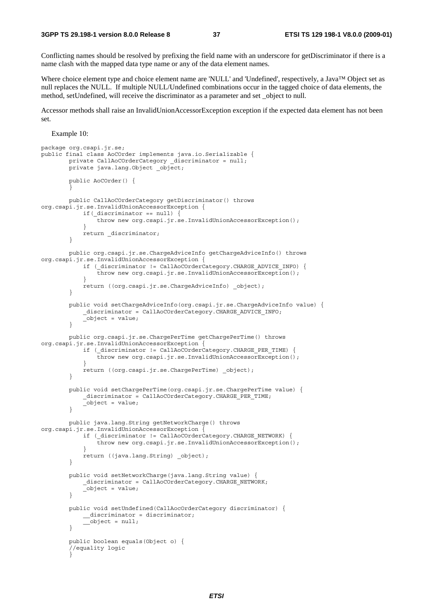Conflicting names should be resolved by prefixing the field name with an underscore for getDiscriminator if there is a name clash with the mapped data type name or any of the data element names.

Where choice element type and choice element name are 'NULL' and 'Undefined', respectively, a Java™ Object set as null replaces the NULL. If multiple NULL/Undefined combinations occur in the tagged choice of data elements, the method, setUndefined, will receive the discriminator as a parameter and set \_object to null.

Accessor methods shall raise an InvalidUnionAccessorException exception if the expected data element has not been set.

#### Example 10:

```
package org.csapi.jr.se; 
public final class AoCOrder implements java.io.Serializable { 
        private CallAoCOrderCategory _discriminator = null; 
         private java.lang.Object _object; 
         public AoCOrder() { 
 } 
         public CallAoCOrderCategory getDiscriminator() throws 
org.csapi.jr.se.InvalidUnionAccessorException { 
            if(discription = null) {
            Throw new org.csapi.jr.se.InvalidUnionAccessorException();
 } 
             return _discriminator; 
 } 
        public org.csapi.jr.se.ChargeAdviceInfo getChargeAdviceInfo() throws 
org.csapi.jr.se.InvalidUnionAccessorException { 
             if (_discriminator != CallAoCOrderCategory.CHARGE_ADVICE_INFO) { 
                 throw new org.csapi.jr.se.InvalidUnionAccessorException(); 
 } 
             return ((org.csapi.jr.se.ChargeAdviceInfo) _object); 
         } 
         public void setChargeAdviceInfo(org.csapi.jr.se.ChargeAdviceInfo value) { 
             _discriminator = CallAoCOrderCategory.CHARGE_ADVICE_INFO; 
        \overline{\phantom{a}}-object = value;
 } 
        public org.csapi.jr.se.ChargePerTime getChargePerTime() throws 
org.csapi.jr.se.InvalidUnionAccessorException { 
            if ( discriminator != CallAoCOrderCategory.CHARGE PER TIME) {
                 throw new org.csapi.jr.se.InvalidUnionAccessorException(); 
 } 
            return ((org.csapi.jr.se.ChargePerTime) object);
         } 
         public void setChargePerTime(org.csapi.jr.se.ChargePerTime value) { 
             _discriminator = CallAoCOrderCategory.CHARGE_PER_TIME; 
             _object = value; 
 } 
        public java.lang.String getNetworkCharge() throws 
org.csapi.jr.se.InvalidUnionAccessorException { 
            if ( discriminator != CallAoCOrderCategory.CHARGE NETWORK) {
                 throw new org.csapi.jr.se.InvalidUnionAccessorException(); 
 } 
            return ((java.lang.String) object);
         } 
         public void setNetworkCharge(java.lang.String value) { 
             _discriminator = CallAoCOrderCategory.CHARGE_NETWORK; 
            \overline{\phantom{a}}object = value;
 } 
         public void setUndefined(CallAocOrderCategory discriminator) { 
             __discriminator = discriminator; 
        \frac{1}{\sqrt{2\pi}} } 
         public boolean equals(Object o) { 
         //equality logic 
 }
```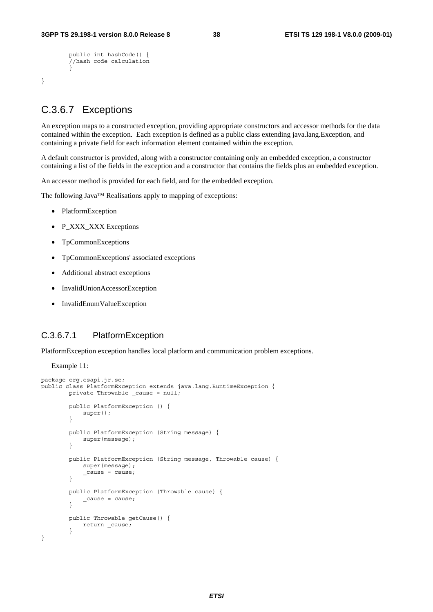```
 public int hashCode() { 
         //hash code calculation 
 }
```
#### C.3.6.7 Exceptions

}

An exception maps to a constructed exception, providing appropriate constructors and accessor methods for the data contained within the exception. Each exception is defined as a public class extending java.lang.Exception, and containing a private field for each information element contained within the exception.

A default constructor is provided, along with a constructor containing only an embedded exception, a constructor containing a list of the fields in the exception and a constructor that contains the fields plus an embedded exception.

An accessor method is provided for each field, and for the embedded exception.

The following Java™ Realisations apply to mapping of exceptions:

- PlatformException
- P\_XXX\_XXX Exceptions
- TpCommonExceptions
- TpCommonExceptions' associated exceptions
- Additional abstract exceptions
- InvalidUnionAccessorException
- InvalidEnumValueException

#### C.3.6.7.1 PlatformException

PlatformException exception handles local platform and communication problem exceptions.

Example 11:

```
package org.csapi.jr.se; 
public class PlatformException extends java.lang.RuntimeException { 
        private Throwable _cause = null; 
        public PlatformException () { 
        super();<br>}
 } 
        public PlatformException (String message) { 
        super(message);
 } 
         public PlatformException (String message, Throwable cause) { 
            super(message); 
             _cause = cause; 
 } 
        public PlatformException (Throwable cause) { 
           _ cause = cause;
         } 
        public Throwable getCause() { 
        return _cause;
 } 
}
```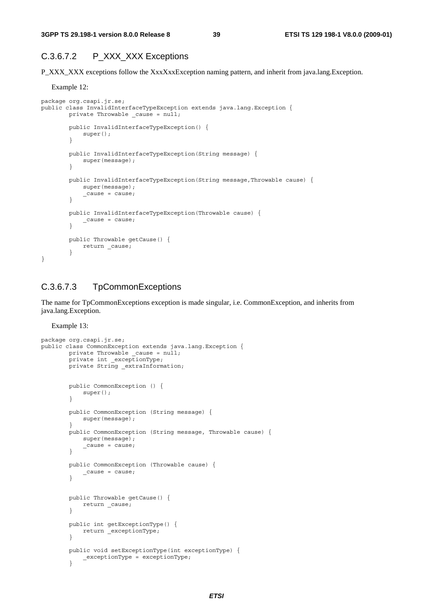#### C.3.6.7.2 P\_XXX\_XXX Exceptions

P\_XXX\_XXX exceptions follow the XxxXxxException naming pattern, and inherit from java.lang.Exception.

#### Example 12:

```
package org.csapi.jr.se; 
public class InvalidInterfaceTypeException extends java.lang.Exception { 
        private Throwable cause = null; public InvalidInterfaceTypeException() { 
             super();
         } 
         public InvalidInterfaceTypeException(String message) { 
              super(message); 
          } 
         public InvalidInterfaceTypeException(String message,Throwable cause) { 
              super(message); 
             _ cause = cause;
 } 
         public InvalidInterfaceTypeException(Throwable cause) { 
         \begin{cases} \text{cause} = \text{cause}; \\ \end{cases} } 
         public Throwable getCause() { 
             return _cause; 
 } 
}
```
#### C.3.6.7.3 TpCommonExceptions

The name for TpCommonExceptions exception is made singular, i.e. CommonException, and inherits from java.lang.Exception.

Example 13:

```
package org.csapi.jr.se; 
public class CommonException extends java.lang.Exception { 
        private Throwable cause = null; private int _exceptionType; 
         private String _extraInformation; 
         public CommonException () { 
            super();
         } 
         public CommonException (String message) { 
             super(message);
 } 
         public CommonException (String message, Throwable cause) { 
             super(message); 
             \_cause = cause; } 
         public CommonException (Throwable cause) { 
         \begin{cases} \text{cause} = \text{cause}; \\ \end{cases} } 
         public Throwable getCause() { 
             return _cause; 
 } 
         public int getExceptionType() { 
             return _exceptionType; 
         } 
         public void setExceptionType(int exceptionType) { 
              _exceptionType = exceptionType; 
          }
```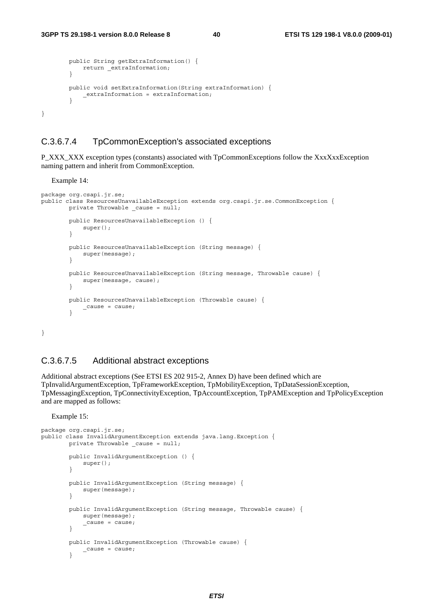```
 public String getExtraInformation() { 
            return _extraInformation; 
 } 
        public void setExtraInformation(String extraInformation) { 
        -<br>
extraInformation = extraInformation;
 } 
}
```
#### C.3.6.7.4 TpCommonException's associated exceptions

P\_XXX\_XXX exception types (constants) associated with TpCommonExceptions follow the XxxXxxException naming pattern and inherit from CommonException.

Example 14:

```
package org.csapi.jr.se; 
public class ResourcesUnavailableException extends org.csapi.jr.se.CommonException { 
       private Throwable cause = null; public ResourcesUnavailableException () { 
           super();
 } 
        public ResourcesUnavailableException (String message) { 
       super(message);
 } 
        public ResourcesUnavailableException (String message, Throwable cause) { 
       super(message, cause);
 } 
        public ResourcesUnavailableException (Throwable cause) { 
       _1 _cause = cause;
 } 
}
```
#### C.3.6.7.5 Additional abstract exceptions

Additional abstract exceptions (See ETSI ES 202 915-2, Annex D) have been defined which are TpInvalidArgumentException, TpFrameworkException, TpMobilityException, TpDataSessionException, TpMessagingException, TpConnectivityException, TpAccountException, TpPAMException and TpPolicyException and are mapped as follows:

Example 15:

```
package org.csapi.jr.se; 
public class InvalidArgumentException extends java.lang.Exception { 
         private Throwable cause = null; public InvalidArgumentException () { 
         super();
 } 
          public InvalidArgumentException (String message) { 
              super(message); 
 } 
          public InvalidArgumentException (String message, Throwable cause) { 
              super(message); 
         \begin{cases} \text{cause} = \text{cause}; \\ \end{cases} } 
          public InvalidArgumentException (Throwable cause) { 
         \begin{cases} \text{cause} = \text{cause}; \\ \end{cases} }
```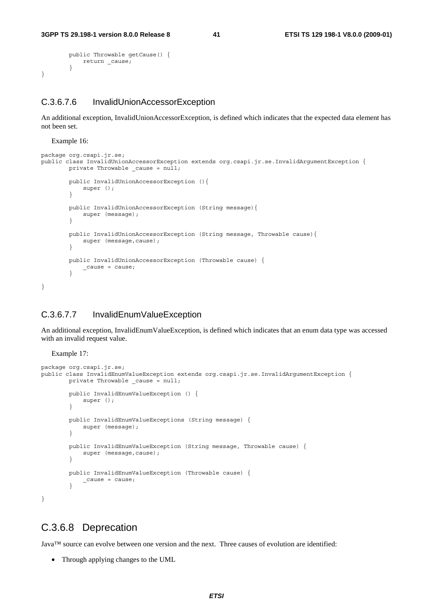```
 public Throwable getCause() { 
              return _cause; 
          } 
}
```
#### C.3.6.7.6 InvalidUnionAccessorException

An additional exception, InvalidUnionAccessorException, is defined which indicates that the expected data element has not been set.

Example 16:

```
package org.csapi.jr.se; 
public class InvalidUnionAccessorException extends org.csapi.jr.se.InvalidArgumentException { 
         private Throwable _cause = null; 
         public InvalidUnionAccessorException (){ 
             super (); 
         } 
         public InvalidUnionAccessorException (String message){ 
             super (message); 
         } 
         public InvalidUnionAccessorException (String message, Throwable cause){ 
            super (message, cause);
         } 
         public InvalidUnionAccessorException (Throwable cause) { 
         _cause = cause; 
 } 
}
```
#### C.3.6.7.7 InvalidEnumValueException

An additional exception, InvalidEnumValueException, is defined which indicates that an enum data type was accessed with an invalid request value.

Example 17:

```
package org.csapi.jr.se; 
public class InvalidEnumValueException extends org.csapi.jr.se.InvalidArgumentException { 
         private Throwable _cause = null; 
         public InvalidEnumValueException () { 
        super ();
 } 
         public InvalidEnumValueExceptions (String message) { 
             super (message); 
         } 
         public InvalidEnumValueException (String message, Throwable cause) { 
            super (message, cause);
         } 
         public InvalidEnumValueException (Throwable cause) { 
            _cause = cause; 
 } 
}
```
#### C.3.6.8 Deprecation

Java™ source can evolve between one version and the next. Three causes of evolution are identified:

• Through applying changes to the UML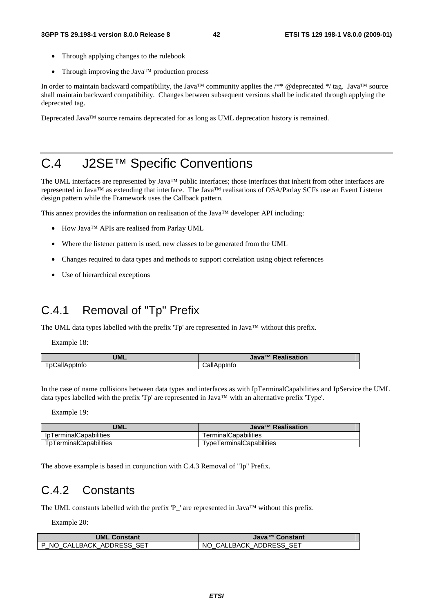- Through applying changes to the rulebook
- Through improving the Java<sup>TM</sup> production process

In order to maintain backward compatibility, the Java<sup>™</sup> community applies the /\*\* @deprecated \*/ tag. Java™ source shall maintain backward compatibility. Changes between subsequent versions shall be indicated through applying the deprecated tag.

Deprecated Java™ source remains deprecated for as long as UML deprecation history is remained.

## C.4 J2SE™ Specific Conventions

The UML interfaces are represented by Java™ public interfaces; those interfaces that inherit from other interfaces are represented in Java™ as extending that interface. The Java™ realisations of OSA/Parlay SCFs use an Event Listener design pattern while the Framework uses the Callback pattern.

This annex provides the information on realisation of the Java™ developer API including:

- How Java™ APIs are realised from Parlay UML
- Where the listener pattern is used, new classes to be generated from the UML
- Changes required to data types and methods to support correlation using object references
- Use of hierarchical exceptions

## C.4.1 Removal of "Tp" Prefix

The UML data types labelled with the prefix 'Tp' are represented in Java<sup>™</sup> without this prefix.

Example 18:

| <b>UML</b>              | <b>Realisation</b><br>$J$ ava <sup>TM</sup> |
|-------------------------|---------------------------------------------|
| $\sim$<br>ГрCallAppInfo | $ -$<br>m<br>טוווטנ<br>∪dli∕<br>ົ           |

In the case of name collisions between data types and interfaces as with IpTerminalCapabilities and IpService the UML data types labelled with the prefix 'Tp' are represented in Java™ with an alternative prefix 'Type'.

Example 19:

| <b>UML</b>                    | Java™ Realisation        |
|-------------------------------|--------------------------|
| <b>IpTerminalCapabilities</b> | TerminalCapabilities     |
| TpTerminalCapabilities        | TypeTerminalCapabilities |

The above example is based in conjunction with C.4.3 Removal of "Ip" Prefix.

### C.4.2 Constants

The UML constants labelled with the prefix 'P\_' are represented in Java<sup>™</sup> without this prefix.

Example 20:

| <b>UML Constant</b>       | Java <sup>™</sup> Constant |
|---------------------------|----------------------------|
| P NO CALLBACK ADDRESS SET | NO CALLBACK ADDRESS SET    |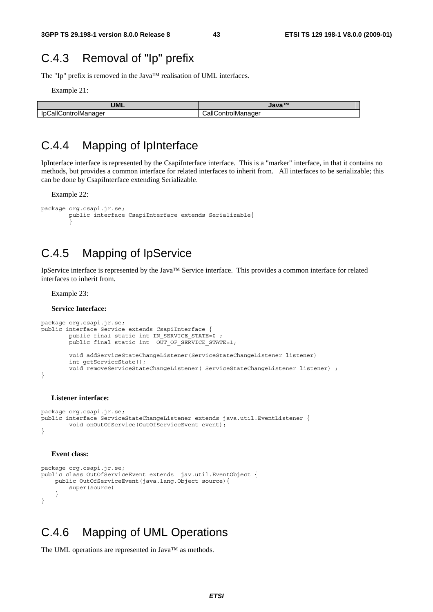### C.4.3 Removal of "Ip" prefix

The "Ip" prefix is removed in the Java™ realisation of UML interfaces.

Example 21:

| <b>UML</b>           | $J$ ava <sup>TM</sup> |
|----------------------|-----------------------|
| IpCallControlManager | CallControlManager    |

### C.4.4 Mapping of IpInterface

IpInterface interface is represented by the CsapiInterface interface. This is a "marker" interface, in that it contains no methods, but provides a common interface for related interfaces to inherit from. All interfaces to be serializable; this can be done by CsapiInterface extending Serializable.

Example 22:

```
package org.csapi.jr.se; 
        public interface CsapiInterface extends Serializable{ 
 }
```
## C.4.5 Mapping of IpService

IpService interface is represented by the Java™ Service interface. This provides a common interface for related interfaces to inherit from.

Example 23:

**Service Interface:** 

```
package org.csapi.jr.se; 
public interface Service extends CsapiInterface {
         public final static int IN_SERVICE_STATE=0 ; 
        public final static int OUT OF SERVICE STATE=1;
         void addServiceStateChangeListener(ServiceStateChangeListener listener) 
         int getServiceState(); 
         void removeServiceStateChangeListener( ServiceStateChangeListener listener) ; 
}
```
#### **Listener interface:**

```
package org.csapi.jr.se; 
public interface ServiceStateChangeListener extends java.util.EventListener {
         void onOutOfService(OutOfServiceEvent event); 
}
```
#### **Event class:**

```
package org.csapi.jr.se; 
public class OutOfServiceEvent extends jav.util.EventObject { 
     public OutOfServiceEvent(java.lang.Object source){ 
         super(source) 
 } 
}
```
### C.4.6 Mapping of UML Operations

The UML operations are represented in Java™ as methods.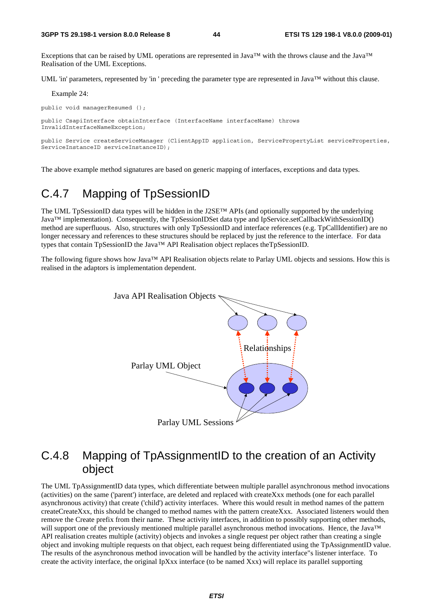Exceptions that can be raised by UML operations are represented in Java<sup>TM</sup> with the throws clause and the Java<sup>TM</sup> Realisation of the UML Exceptions.

UML 'in' parameters, represented by 'in ' preceding the parameter type are represented in Java<sup>TM</sup> without this clause.

Example 24:

public void managerResumed ();

public CsapiInterface obtainInterface (InterfaceName interfaceName) throws InvalidInterfaceNameException;

public Service createServiceManager (ClientAppID application, ServicePropertyList serviceProperties, ServiceInstanceID serviceInstanceID);

The above example method signatures are based on generic mapping of interfaces, exceptions and data types.

## C.4.7 Mapping of TpSessionID

The UML TpSessionID data types will be hidden in the J2SE™ APIs (and optionally supported by the underlying Java™ implementation). Consequently, the TpSessionIDSet data type and IpService.setCallbackWithSessionID() method are superfluous. Also, structures with only TpSessionID and interface references (e.g. TpCallIdentifier) are no longer necessary and references to these structures should be replaced by just the reference to the interface. For data types that contain TpSessionID the Java™ API Realisation object replaces theTpSessionID.

The following figure shows how Java™ API Realisation objects relate to Parlay UML objects and sessions. How this is realised in the adaptors is implementation dependent.



### C.4.8 Mapping of TpAssignmentID to the creation of an Activity object

The UML TpAssignmentID data types, which differentiate between multiple parallel asynchronous method invocations (activities) on the same ('parent') interface, are deleted and replaced with createXxx methods (one for each parallel asynchronous activity) that create ('child') activity interfaces. Where this would result in method names of the pattern createCreateXxx, this should be changed to method names with the pattern createXxx. Associated listeners would then remove the Create prefix from their name. These activity interfaces, in addition to possibly supporting other methods, will support one of the previously mentioned multiple parallel asynchronous method invocations. Hence, the Java™ API realisation creates multiple (activity) objects and invokes a single request per object rather than creating a single object and invoking multiple requests on that object, each request being differentiated using the TpAssignmentID value. The results of the asynchronous method invocation will be handled by the activity interface"s listener interface. To create the activity interface, the original IpXxx interface (to be named Xxx) will replace its parallel supporting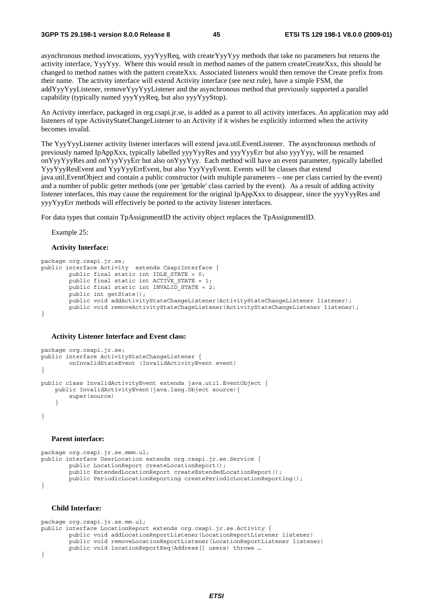asynchronous method invocations, yyyYyyReq, with createYyyYyy methods that take no parameters but returns the activity interface, YyyYyy. Where this would result in method names of the pattern createCreateXxx, this should be changed to method names with the pattern createXxx. Associated listeners would then remove the Create prefix from their name. The activity interface will extend Activity interface (see next rule), have a simple FSM, the addYyyYyyListener, removeYyyYyyListener and the asynchronous method that previously supported a parallel capability (typically named yyyYyyReq, but also yyyYyyStop).

An Activity interface, packaged in org.csapi.jr.se, is added as a parent to all activity interfaces. An application may add listeners of type ActivityStateChangeListener to an Activity if it wishes be explicitly informed when the activity becomes invalid.

The YyyYyyListener activity listener interfaces will extend java.util.EventListener. The asynchronous methods of previously named IpAppXxx, typically labelled yyyYyyRes and yyyYyyErr but also yyyYyy, will be renamed onYyyYyyRes and onYyyYyyErr but also onYyyYyy. Each method will have an event parameter, typically labelled YyyYyyResEvent and YyyYyyErrEvent, but also YyyYyyEvent. Events will be classes that extend java.util.EventObject and contain a public constructor (with multiple parameters – one per class carried by the event) and a number of public getter methods (one per 'gettable' class carried by the event). As a result of adding activity listener interfaces, this may cause the requirement for the original IpAppXxx to disappear, since the yyyYyyRes and yyyYyyErr methods will effectively be ported to the activity listener interfaces.

For data types that contain TpAssignmentID the activity object replaces the TpAssignmentID.

Example 25:

#### **Activity Interface:**

```
package org.csapi.jr.se; 
public interface Activity extends CsapiInterface { 
         public final static int IDLE_STATE = 0; 
        public final static int ACTIVE STATE = 1;
        public final static int INVALID STATE = 2;
         public int getState(); 
         public void addActivityStateChangeListener(ActivityStateChangeListener listener); 
        public void removeActivityStateChageListener(ActivityStateChangeListener listener);
}
```
#### **Activity Listener Interface and Event class:**

```
package org.csapi.jr.se; 
public interface ActivityStateChangeListener { 
         onInvalidStateEvent (InvalidActivityEvent event) 
} 
public class InvalidActivityEvent extends java.util.EventObject { 
     public InvalidActivityEvent(java.lang.Object source){ 
         super(source) 
 } 
}
```
#### **Parent interface:**

```
package org.csapi.jr.se.mmm.ul; 
public interface UserLocation extends org.csapi.jr.se.Service { 
         public LocationReport createLocationReport(); 
         public ExtendedLocationReport createExtendedLocationReport(); 
         public PeriodicLocationReporting createPeriodicLocationReporting(); 
}
```
#### **Child Interface:**

```
package org.csapi.jr.se.mm.ul; 
public interface LocationReport extends org.csapi.jr.se.Activity { 
         public void addLocationReportListener(LocationReportListener listener) 
         public void removeLocationReportListener(LocationReportListener listener) 
         public void locationReportReq(Address[] users) throws … 
}
```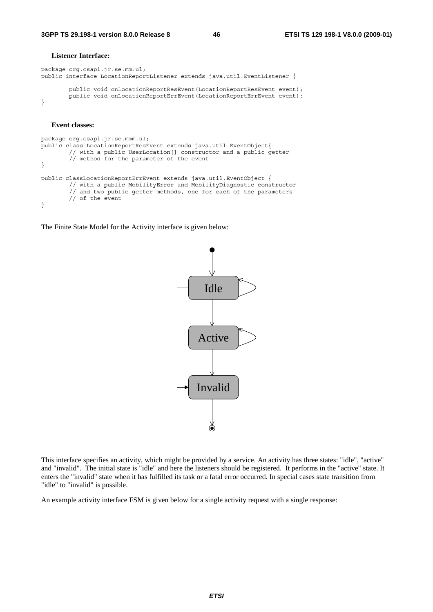#### **Listener Interface:**

```
package org.csapi.jr.se.mm.ul; 
public interface LocationReportListener extends java.util.EventListener { 
        public void onLocationReportResEvent(LocationReportResEvent event);
        public void onLocationReportErrEvent(LocationReportErrEvent event);
}
```
#### **Event classes:**

```
package org.csapi.jr.se.mmm.ul; 
public class LocationReportResEvent extends java.util.EventObject{ 
         // with a public UserLocation[] constructor and a public getter 
         // method for the parameter of the event 
} 
public classLocationReportErrEvent extends java.util.EventObject { 
         // with a public MobilityError and MobilityDiagnostic constructor 
         // and two public getter methods, one for each of the parameters 
         // of the event 
}
```
The Finite State Model for the Activity interface is given below:



This interface specifies an activity, which might be provided by a service. An activity has three states: "idle", "active" and "invalid". The initial state is "idle" and here the listeners should be registered. It performs in the "active" state. It enters the "invalid" state when it has fulfilled its task or a fatal error occurred. In special cases state transition from "idle" to "invalid" is possible.

An example activity interface FSM is given below for a single activity request with a single response: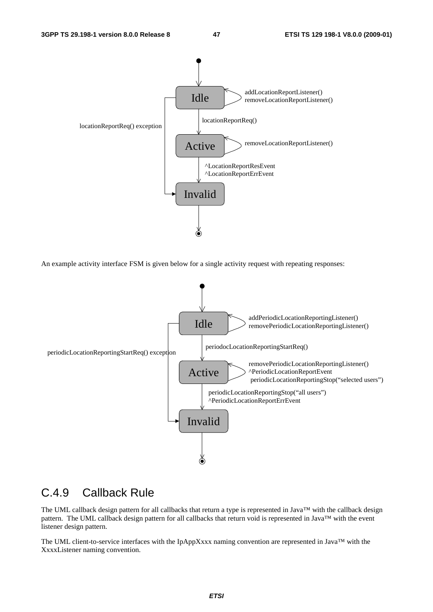

An example activity interface FSM is given below for a single activity request with repeating responses:



### C.4.9 Callback Rule

The UML callback design pattern for all callbacks that return a type is represented in Java<sup>TM</sup> with the callback design pattern. The UML callback design pattern for all callbacks that return void is represented in Java™ with the event listener design pattern.

The UML client-to-service interfaces with the IpAppXxxx naming convention are represented in Java™ with the XxxxListener naming convention.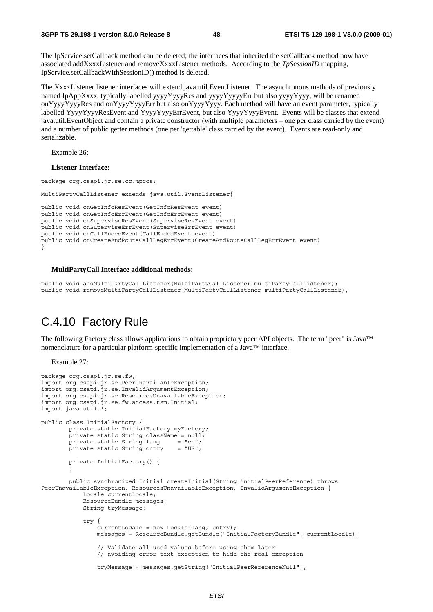The IpService.setCallback method can be deleted; the interfaces that inherited the setCallback method now have associated addXxxxListener and removeXxxxListener methods. According to the *TpSessionID* mapping, IpService.setCallbackWithSessionID() method is deleted.

The XxxxListener listener interfaces will extend java.util.EventListener. The asynchronous methods of previously named IpAppXxxx, typically labelled yyyyYyyyRes and yyyyYyyyyErr but also yyyyYyyy, will be renamed onYyyyYyyyRes and onYyyyYyyyErr but also onYyyyYyyy. Each method will have an event parameter, typically labelled YyyyYyyyResEvent and YyyyYyyyErrEvent, but also YyyyYyyyEvent. Events will be classes that extend java.util.EventObject and contain a private constructor (with multiple parameters – one per class carried by the event) and a number of public getter methods (one per 'gettable' class carried by the event). Events are read-only and serializable.

Example 26:

**Listener Interface:** 

```
package org.csapi.jr.se.cc.mpccs; 
MultiPartyCallListener extends java.util.EventListener{
public void onGetInfoResEvent(GetInfoResEvent event) 
public void onGetInfoErrEvent(GetInfoErrEvent event) 
public void onSuperviseResEvent(SuperviseResEvent event)
public void onSuperviseErrEvent(SuperviseErrEvent event) 
public void onCallEndedEvent(CallEndedEvent event) 
public void onCreateAndRouteCallLegErrEvent(CreateAndRouteCallLegErrEvent event) 
}
```
#### **MultiPartyCall Interface additional methods:**

```
public void addMultiPartyCallListener(MultiPartyCallListener multiPartyCallListener); 
public void removeMultiPartyCallListener(MultiPartyCallListener multiPartyCallListener);
```
### C.4.10 Factory Rule

The following Factory class allows applications to obtain proprietary peer API objects. The term "peer" is Java™ nomenclature for a particular platform-specific implementation of a Java™ interface.

Example 27:

```
package org.csapi.jr.se.fw; 
import org.csapi.jr.se.PeerUnavailableException; 
import org.csapi.jr.se.InvalidArgumentException; 
import org.csapi.jr.se.ResourcesUnavailableException; 
import org.csapi.jr.se.fw.access.tsm.Initial; 
import java.util.*; 
public class InitialFactory { 
         private static InitialFactory myFactory; 
        private static String className = null;<br>private static String lang = "en";
        private static String lang
        private static String cntry = "US"; private InitialFactory() { 
 } 
         public synchronized Initial createInitial(String initialPeerReference) throws 
PeerUnavailableException, ResourcesUnavailableException, InvalidArgumentException { 
             Locale currentLocale; 
             ResourceBundle messages; 
             String tryMessage; 
             try { 
                  currentLocale = new Locale(lang, cntry); 
                  messages = ResourceBundle.getBundle("InitialFactoryBundle", currentLocale); 
                  // Validate all used values before using them later 
                  // avoiding error text exception to hide the real exception 
                  tryMessage = messages.getString("InitialPeerReferenceNull");
```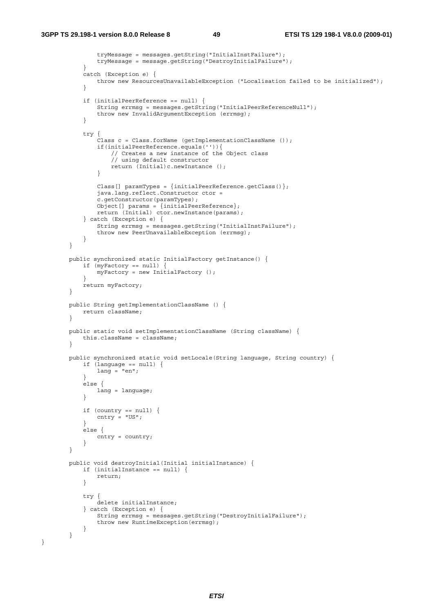}

```
 tryMessage = messages.getString("InitialInstFailure"); 
                tryMessage = message.getString("DestroyInitialFailure"); 
 } 
            catch (Exception e) { 
            throw new ResourcesUnavailableException ("Localisation failed to be initialized");<br>}
 } 
            if (initialPeerReference == null) { 
                String errmsg = messages.getString("InitialPeerReferenceNull"); 
                throw new InvalidArgumentException (errmsg); 
 } 
            try { 
                Class c = Class.forName (getImplementationClassName ()); 
                if(initialPeerReference.equals('')){ 
                    // Creates a new instance of the Object class 
                    // using default constructor 
               return (Initial)c.newInstance ();<br>}
 } 
               Class[] paramTypes = \{initialPerReference.getClass() \};
                java.lang.reflect.Constructor ctor = 
                c.getConstructor(paramTypes); 
               Object [] params = \{initialPerReference\}; return (Initial) ctor.newInstance(params); 
            } catch (Exception e) { 
                String errmsg = messages.getString("InitialInstFailure"); 
                throw new PeerUnavailableException (errmsg); 
            } 
        } 
        public synchronized static InitialFactory getInstance() { 
           if (myFactory == null) {
                myFactory = new InitialFactory (); 
 } 
            return myFactory; 
        } 
        public String getImplementationClassName () { 
       return className;
 } 
        public static void setImplementationClassName (String className) { 
            this.className = className; 
 } 
        public synchronized static void setLocale(String language, String country) { 
           if (language == null) {
               lang = "en";
            } 
            else { 
           lang = language;
 } 
           if (country == null) {
               entry = "US"; } 
            else { 
               entry = country; } 
        } 
        public void destroyInitial(Initial initialInstance) { 
            if (initialInstance == null) { 
           return;
 } 
            try { 
                delete initialInstance; 
             } catch (Exception e) { 
                String errmsg = messages.getString("DestroyInitialFailure"); 
                throw new RuntimeException(errmsg); 
            } 
        }
```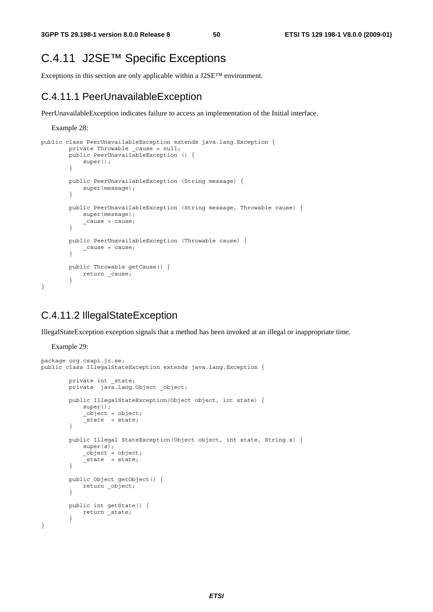### C.4.11 J2SE™ Specific Exceptions

Exceptions in this section are only applicable within a J2SE™ environment.

#### C.4.11.1 PeerUnavailableException

PeerUnavailableException indicates failure to access an implementation of the Initial interface.

Example 28:

```
public class PeerUnavailableException extends java.lang.Exception { 
        private Throwable cause = null; public PeerUnavailableException () { 
        super();<br>}
 } 
         public PeerUnavailableException (String message) { 
            super(message);
         } 
         public PeerUnavailableException (String message, Throwable cause) { 
            super(message); 
            _ cause = cause;
 } 
         public PeerUnavailableException (Throwable cause) { 
             _cause = cause; 
         } 
         public Throwable getCause() { 
            return cause;
         } 
}
```
#### C.4.11.2 IllegalStateException

IllegalStateException exception signals that a method has been invoked at an illegal or inappropriate time.

Example 29:

```
package org.csapi.jr.se; 
public class IllegalStateException extends java.lang.Exception { 
          private int _state; 
         private java.lang.Object object;
          public IllegalStateException(Object object, int state) { 
               super(); 
              \overline{\phantom{a}}object = object;
          \int<sub>2</sub> state = state;
 } 
           public Illegal StateException(Object object, int state, String s) { 
               super(s); 
              \overline{\text{object}} = object;
              _ state = state;
           } 
          public Object getObject() { 
          return _object;
 } 
          public int getState() { 
          \begin{bmatrix} 1 \\ 1 \end{bmatrix} return \begin{bmatrix} 1 \\ -1 \end{bmatrix} } 
}
```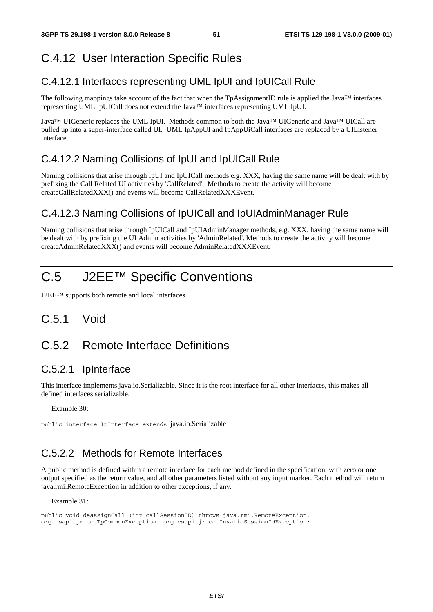### C.4.12 User Interaction Specific Rules

#### C.4.12.1 Interfaces representing UML IpUI and IpUICall Rule

The following mappings take account of the fact that when the TpAssignmentID rule is applied the Java™ interfaces representing UML IpUICall does not extend the Java™ interfaces representing UML IpUI.

Java™ UIGeneric replaces the UML IpUI. Methods common to both the Java™ UIGeneric and Java™ UICall are pulled up into a super-interface called UI. UML IpAppUI and IpAppUiCall interfaces are replaced by a UIListener interface.

#### C.4.12.2 Naming Collisions of IpUI and IpUICall Rule

Naming collisions that arise through IpUI and IpUICall methods e.g. XXX, having the same name will be dealt with by prefixing the Call Related UI activities by 'CallRelated'. Methods to create the activity will become createCallRelatedXXX() and events will become CallRelatedXXXEvent.

#### C.4.12.3 Naming Collisions of IpUICall and IpUIAdminManager Rule

Naming collisions that arise through IpUICall and IpUIAdminManager methods, e.g. XXX, having the same name will be dealt with by prefixing the UI Admin activities by 'AdminRelated'. Methods to create the activity will become createAdminRelatedXXX() and events will become AdminRelatedXXXEvent.

## C.5 J2EE™ Specific Conventions

J2EE™ supports both remote and local interfaces.

### C.5.1 Void

#### C.5.2 Remote Interface Definitions

#### C.5.2.1 IpInterface

This interface implements java.io.Serializable. Since it is the root interface for all other interfaces, this makes all defined interfaces serializable.

Example 30:

public interface IpInterface extends java.io.Serializable

#### C.5.2.2 Methods for Remote Interfaces

A public method is defined within a remote interface for each method defined in the specification, with zero or one output specified as the return value, and all other parameters listed without any input marker. Each method will return java.rmi.RemoteException in addition to other exceptions, if any.

Example 31:

public void deassignCall (int callSessionID) throws java.rmi.RemoteException, org.csapi.jr.ee.TpCommonException, org.csapi.jr.ee.InvalidSessionIdException;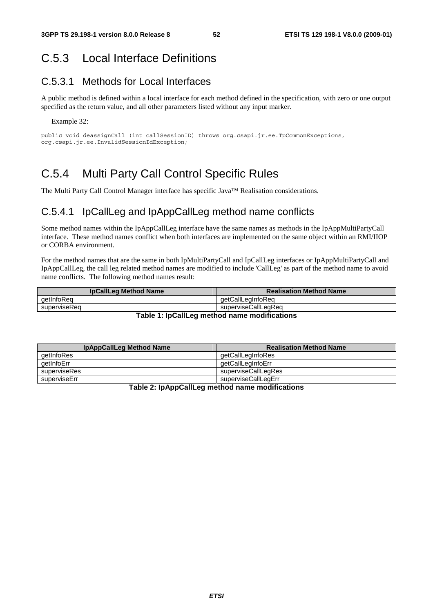### C.5.3 Local Interface Definitions

#### C.5.3.1 Methods for Local Interfaces

A public method is defined within a local interface for each method defined in the specification, with zero or one output specified as the return value, and all other parameters listed without any input marker.

Example 32:

```
public void deassignCall (int callSessionID) throws org.csapi.jr.ee.TpCommonExceptions, 
org.csapi.jr.ee.InvalidSessionIdException;
```
### C.5.4 Multi Party Call Control Specific Rules

The Multi Party Call Control Manager interface has specific Java™ Realisation considerations.

#### C.5.4.1 IpCallLeg and IpAppCallLeg method name conflicts

Some method names within the IpAppCallLeg interface have the same names as methods in the IpAppMultiPartyCall interface. These method names conflict when both interfaces are implemented on the same object within an RMI/IIOP or CORBA environment.

For the method names that are the same in both IpMultiPartyCall and IpCallLeg interfaces or IpAppMultiPartyCall and IpAppCallLeg, the call leg related method names are modified to include 'CallLeg' as part of the method name to avoid name conflicts. The following method names result:

| <b>IpCallLeg Method Name</b>                    | <b>Realisation Method Name</b> |  |
|-------------------------------------------------|--------------------------------|--|
| aetInfoRea                                      | aetCallLegInfoReg              |  |
| superviseRea                                    | superviseCallLegReg            |  |
| Tekla di luCalli se methani nama menificational |                                |  |

#### **Table 1: IpCallLeg method name modifications**

| <b>IpAppCallLeg Method Name</b> | <b>Realisation Method Name</b> |
|---------------------------------|--------------------------------|
| getInfoRes                      | getCallLegInfoRes              |
| qetInfoErr                      | qetCallLegInfoErr              |
| superviseRes                    | superviseCallLegRes            |
| superviseErr                    | superviseCallLegErr            |

**Table 2: IpAppCallLeg method name modifications**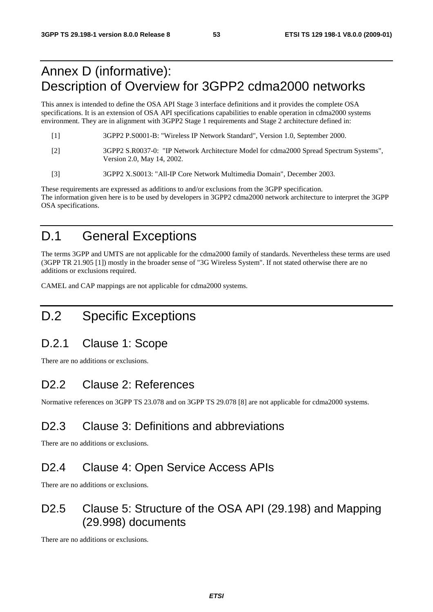## Annex D (informative): Description of Overview for 3GPP2 cdma2000 networks

This annex is intended to define the OSA API Stage 3 interface definitions and it provides the complete OSA specifications. It is an extension of OSA API specifications capabilities to enable operation in cdma2000 systems environment. They are in alignment with 3GPP2 Stage 1 requirements and Stage 2 architecture defined in:

- [1] 3GPP2 P.S0001-B: "Wireless IP Network Standard", Version 1.0, September 2000. [2] 3GPP2 S.R0037-0: "IP Network Architecture Model for cdma2000 Spread Spectrum Systems", Version 2.0, May 14, 2002.
- [3] 3GPP2 X.S0013: "All-IP Core Network Multimedia Domain", December 2003.

These requirements are expressed as additions to and/or exclusions from the 3GPP specification. The information given here is to be used by developers in 3GPP2 cdma2000 network architecture to interpret the 3GPP OSA specifications.

## D.1 General Exceptions

The terms 3GPP and UMTS are not applicable for the cdma2000 family of standards. Nevertheless these terms are used (3GPP TR 21.905 [1]) mostly in the broader sense of "3G Wireless System". If not stated otherwise there are no additions or exclusions required.

CAMEL and CAP mappings are not applicable for cdma2000 systems.

## D.2 Specific Exceptions

### D.2.1 Clause 1: Scope

There are no additions or exclusions.

### D2.2 Clause 2: References

Normative references on 3GPP TS 23.078 and on 3GPP TS 29.078 [8] are not applicable for cdma2000 systems.

## D<sub>2.3</sub> Clause 3: Definitions and abbreviations

There are no additions or exclusions.

## D2.4 Clause 4: Open Service Access APIs

There are no additions or exclusions.

### D2.5 Clause 5: Structure of the OSA API (29.198) and Mapping (29.998) documents

There are no additions or exclusions.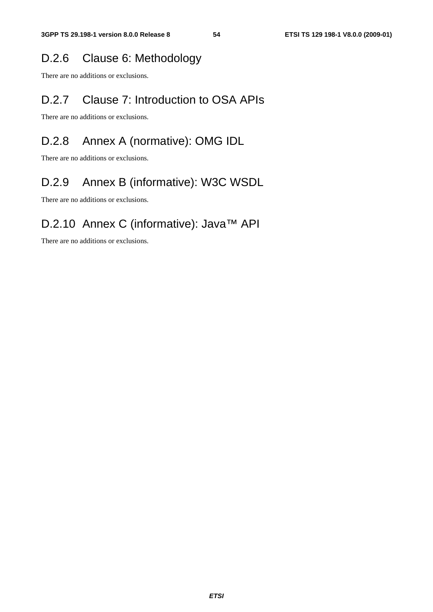### D.2.6 Clause 6: Methodology

There are no additions or exclusions.

## D.2.7 Clause 7: Introduction to OSA APIs

There are no additions or exclusions.

## D.2.8 Annex A (normative): OMG IDL

There are no additions or exclusions.

## D.2.9 Annex B (informative): W3C WSDL

There are no additions or exclusions.

## D.2.10 Annex C (informative): Java™ API

There are no additions or exclusions.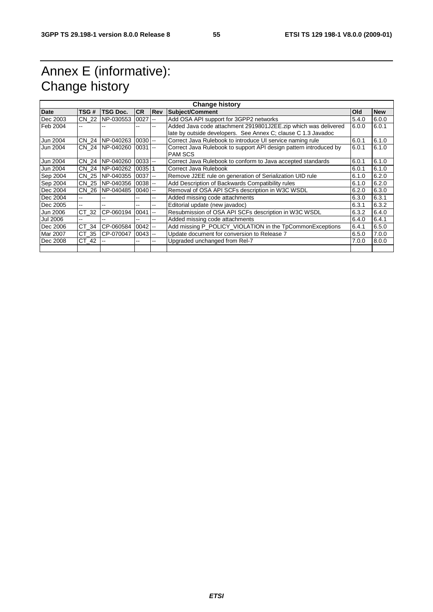## Annex E (informative): Change history

| <b>Change history</b> |       |                  |            |                          |                                                                   |       |            |
|-----------------------|-------|------------------|------------|--------------------------|-------------------------------------------------------------------|-------|------------|
| Date                  | TSG # | TSG Doc.         | <b>CR</b>  | <b>Rev</b>               | <b>Subject/Comment</b>                                            | Old   | <b>New</b> |
| Dec 2003              | CN 22 | NP-030553        | 0027       | $\sim$                   | Add OSA API support for 3GPP2 networks                            | 5.4.0 | 6.0.0      |
| Feb 2004              | --    |                  |            | --                       | Added Java code attachment 2919801J2EE.zip which was delivered    | 6.0.0 | 6.0.1      |
|                       |       |                  |            |                          | late by outside developers. See Annex C; clause C 1.3 Javadoc     |       |            |
| Jun 2004              | CN 24 | NP-040263        | $0030$ $-$ |                          | Correct Java Rulebook to introduce UI service naming rule         | 6.0.1 | 6.1.0      |
| Jun 2004              |       | CN 24 INP-040260 | 0031       | <b>1-4</b>               | Correct Java Rulebook to support API design pattern introduced by | 6.0.1 | 6.1.0      |
|                       |       |                  |            |                          | <b>PAM SCS</b>                                                    |       |            |
| Jun 2004              | CN 24 | NP-040260        | $0033$ --  |                          | Correct Java Rulebook to conform to Java accepted standards       | 6.0.1 | 6.1.0      |
| Jun 2004              | CN 24 | NP-040262        | 0035       |                          | Correct Java Rulebook                                             | 6.0.1 | 6.1.0      |
| Sep 2004              |       | CN 25 INP-040355 | $0037$ --  |                          | Remove J2EE rule on generation of Serialization UID rule          | 6.1.0 | 6.2.0      |
| Sep 2004              | CN 25 | NP-040356        | $0038$ --  |                          | Add Description of Backwards Compatibility rules                  | 6.1.0 | 6.2.0      |
| Dec 2004              |       | CN 26 NP-040485  | $0040$ --  |                          | Removal of OSA API SCFs description in W3C WSDL                   | 6.2.0 | 6.3.0      |
| Dec 2004              | $- -$ |                  |            | --                       | Added missing code attachments                                    | 6.3.0 | 6.3.1      |
| Dec 2005              | --    |                  |            | --                       | Editorial update (new javadoc)                                    | 6.3.1 | 6.3.2      |
| Jun 2006              | CT 32 | CP-060194        | 0041       | $\sim$                   | Resubmission of OSA API SCFs description in W3C WSDL              | 6.3.2 | 6.4.0      |
| <b>Jul 2006</b>       | --    |                  |            | $\overline{\phantom{a}}$ | Added missing code attachments                                    | 6.4.0 | 6.4.1      |
| Dec 2006              | CT 34 | CP-060584        | $0042$ --  |                          | Add missing P_POLICY_VIOLATION in the TpCommonExceptions          | 6.4.1 | 6.5.0      |
| Mar 2007              | CT 35 | CP-070047        | $0043$ --  |                          | Update document for conversion to Release 7                       | 6.5.0 | 7.0.0      |
| Dec 2008              | CT 42 |                  | --         | --                       | Upgraded unchanged from Rel-7                                     | 7.0.0 | 8.0.0      |
|                       |       |                  |            |                          |                                                                   |       |            |